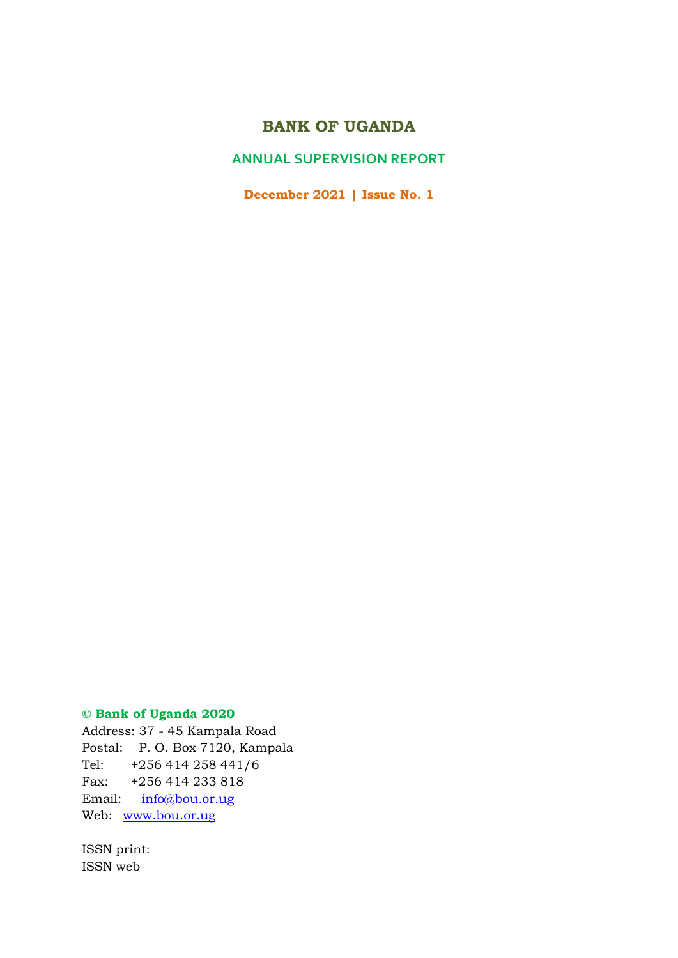# **BANK OF UGANDA**

# **ANNUAL SUPERVISION REPORT**

**December 2021 | Issue No. 1**

## **© Bank of Uganda 2020**

Address: 37 - 45 Kampala Road Postal: P. O. Box 7120, Kampala Tel: +256 414 258 441/6 Fax: +256 414 233 818 Email: [info@bou.or.ug](mailto:info@bou.or.ug) Web: [www.bou.or.ug](http://www.bou.or.ug/) 

ISSN print: ISSN web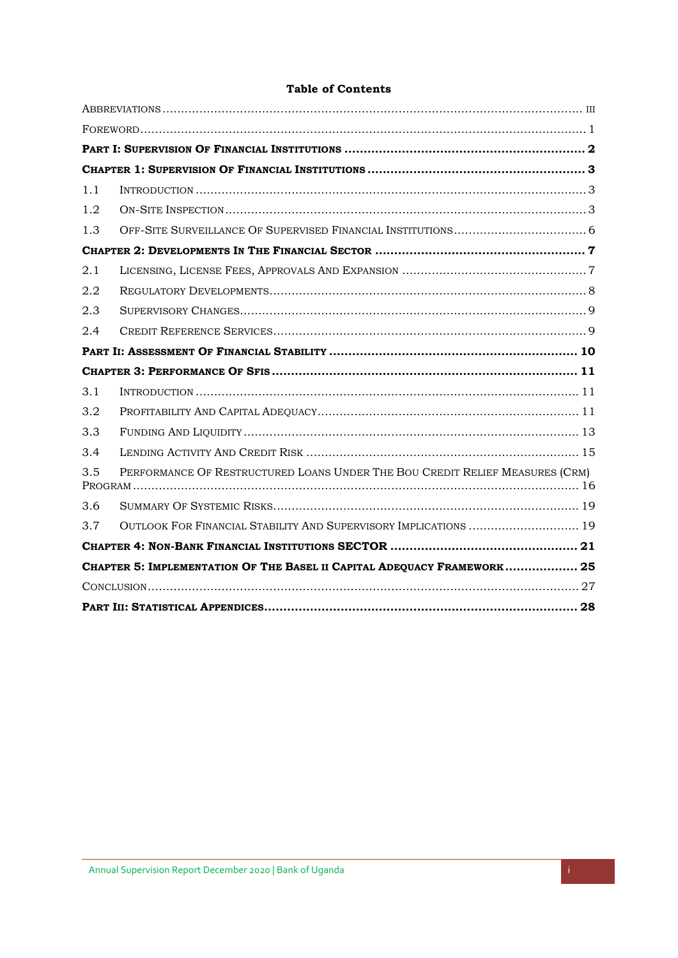#### **Table of Contents**

| 1.1 |                                                                              |  |
|-----|------------------------------------------------------------------------------|--|
| 1.2 |                                                                              |  |
| 1.3 |                                                                              |  |
|     |                                                                              |  |
| 2.1 |                                                                              |  |
| 2.2 |                                                                              |  |
| 2.3 |                                                                              |  |
| 2.4 |                                                                              |  |
|     |                                                                              |  |
|     |                                                                              |  |
|     |                                                                              |  |
| 3.1 |                                                                              |  |
| 3.2 |                                                                              |  |
| 3.3 |                                                                              |  |
| 3.4 |                                                                              |  |
| 3.5 | PERFORMANCE OF RESTRUCTURED LOANS UNDER THE BOU CREDIT RELIEF MEASURES (CRM) |  |
| 3.6 |                                                                              |  |
| 3.7 | OUTLOOK FOR FINANCIAL STABILITY AND SUPERVISORY IMPLICATIONS  19             |  |
|     |                                                                              |  |
|     | CHAPTER 5: IMPLEMENTATION OF THE BASEL II CAPITAL ADEQUACY FRAMEWORK 25      |  |
|     |                                                                              |  |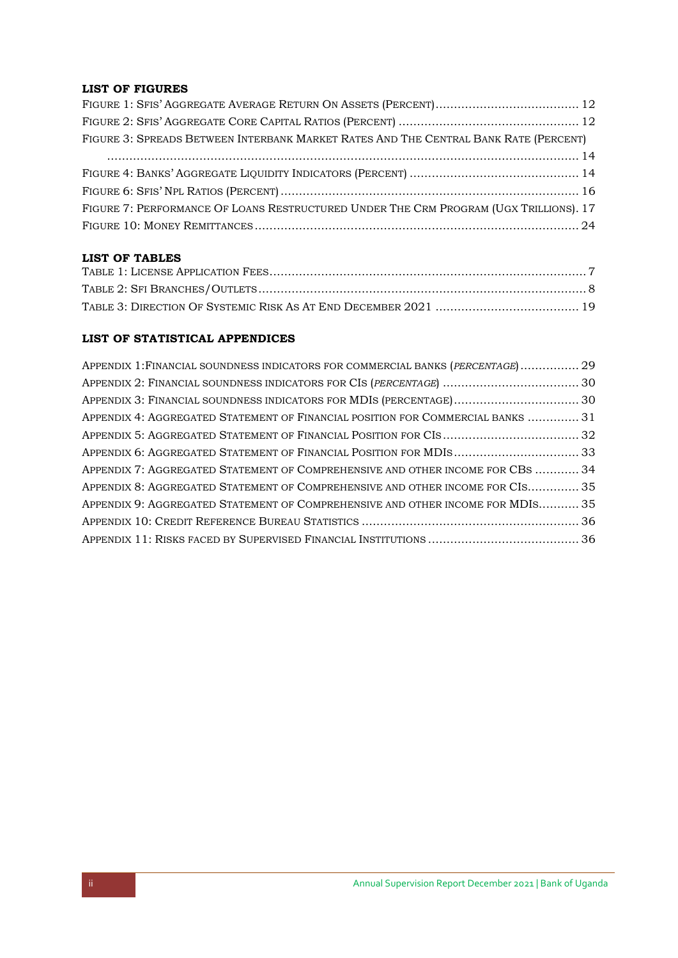#### **LIST OF FIGURES**

| FIGURE 3: SPREADS BETWEEN INTERBANK MARKET RATES AND THE CENTRAL BANK RATE (PERCENT)  |  |
|---------------------------------------------------------------------------------------|--|
|                                                                                       |  |
|                                                                                       |  |
|                                                                                       |  |
| FIGURE 7: PERFORMANCE OF LOANS RESTRUCTURED UNDER THE CRM PROGRAM (UGX TRILLIONS). 17 |  |
|                                                                                       |  |

### **LIST OF TABLES**

#### **LIST OF STATISTICAL APPENDICES**

| APPENDIX 1: FINANCIAL SOUNDNESS INDICATORS FOR COMMERCIAL BANKS (PERCENTAGE) 29 |  |
|---------------------------------------------------------------------------------|--|
|                                                                                 |  |
| APPENDIX 3: FINANCIAL SOUNDNESS INDICATORS FOR MDIS (PERCENTAGE) 30             |  |
| APPENDIX 4: AGGREGATED STATEMENT OF FINANCIAL POSITION FOR COMMERCIAL BANKS  31 |  |
|                                                                                 |  |
| APPENDIX 6: AGGREGATED STATEMENT OF FINANCIAL POSITION FOR MDIS 33              |  |
| APPENDIX 7: AGGREGATED STATEMENT OF COMPREHENSIVE AND OTHER INCOME FOR CBS  34  |  |
| APPENDIX 8: AGGREGATED STATEMENT OF COMPREHENSIVE AND OTHER INCOME FOR CIS 35   |  |
| APPENDIX 9: AGGREGATED STATEMENT OF COMPREHENSIVE AND OTHER INCOME FOR MDIS 35  |  |
|                                                                                 |  |
|                                                                                 |  |
|                                                                                 |  |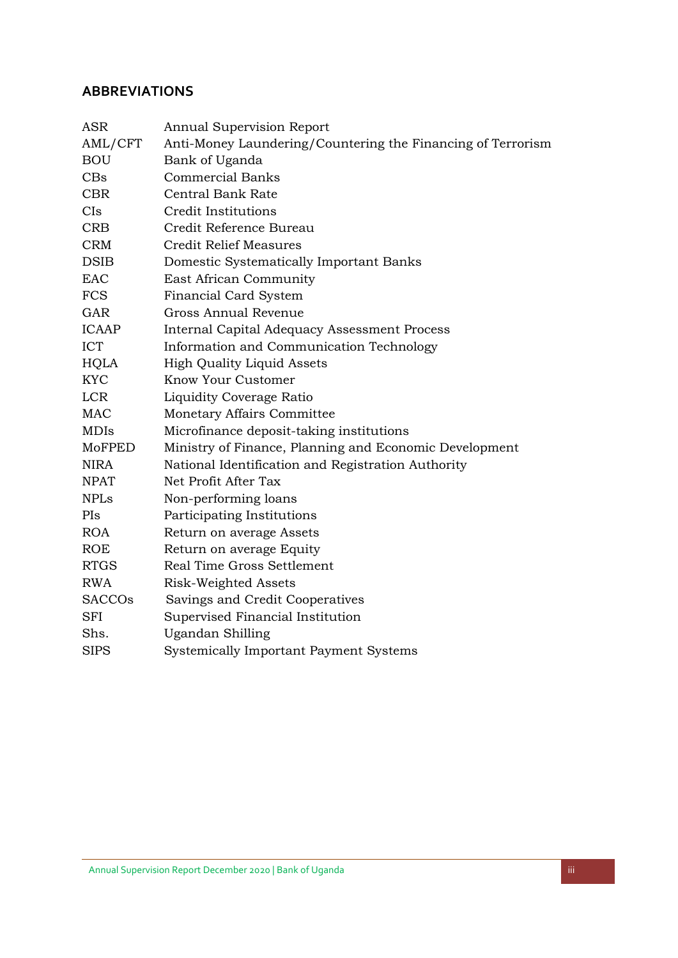## <span id="page-4-0"></span>**ABBREVIATIONS**

| ASR           | <b>Annual Supervision Report</b>                            |
|---------------|-------------------------------------------------------------|
| AML/CFT       | Anti-Money Laundering/Countering the Financing of Terrorism |
| <b>BOU</b>    | Bank of Uganda                                              |
| CBs           | <b>Commercial Banks</b>                                     |
| <b>CBR</b>    | <b>Central Bank Rate</b>                                    |
| CIs           | Credit Institutions                                         |
| <b>CRB</b>    | Credit Reference Bureau                                     |
| <b>CRM</b>    | <b>Credit Relief Measures</b>                               |
| <b>DSIB</b>   | Domestic Systematically Important Banks                     |
| EAC           | East African Community                                      |
| <b>FCS</b>    | Financial Card System                                       |
| <b>GAR</b>    | <b>Gross Annual Revenue</b>                                 |
| <b>ICAAP</b>  | Internal Capital Adequacy Assessment Process                |
| <b>ICT</b>    | Information and Communication Technology                    |
| <b>HQLA</b>   | High Quality Liquid Assets                                  |
| <b>KYC</b>    | Know Your Customer                                          |
| <b>LCR</b>    | <b>Liquidity Coverage Ratio</b>                             |
| <b>MAC</b>    | Monetary Affairs Committee                                  |
| <b>MDIs</b>   | Microfinance deposit-taking institutions                    |
| MoFPED        | Ministry of Finance, Planning and Economic Development      |
| <b>NIRA</b>   | National Identification and Registration Authority          |
| <b>NPAT</b>   | Net Profit After Tax                                        |
| <b>NPLs</b>   | Non-performing loans                                        |
| PIs           | Participating Institutions                                  |
| <b>ROA</b>    | Return on average Assets                                    |
| <b>ROE</b>    | Return on average Equity                                    |
| <b>RTGS</b>   | Real Time Gross Settlement                                  |
| <b>RWA</b>    | <b>Risk-Weighted Assets</b>                                 |
| <b>SACCOs</b> | Savings and Credit Cooperatives                             |
| <b>SFI</b>    | Supervised Financial Institution                            |
| Shs.          | Ugandan Shilling                                            |
| <b>SIPS</b>   | Systemically Important Payment Systems                      |
|               |                                                             |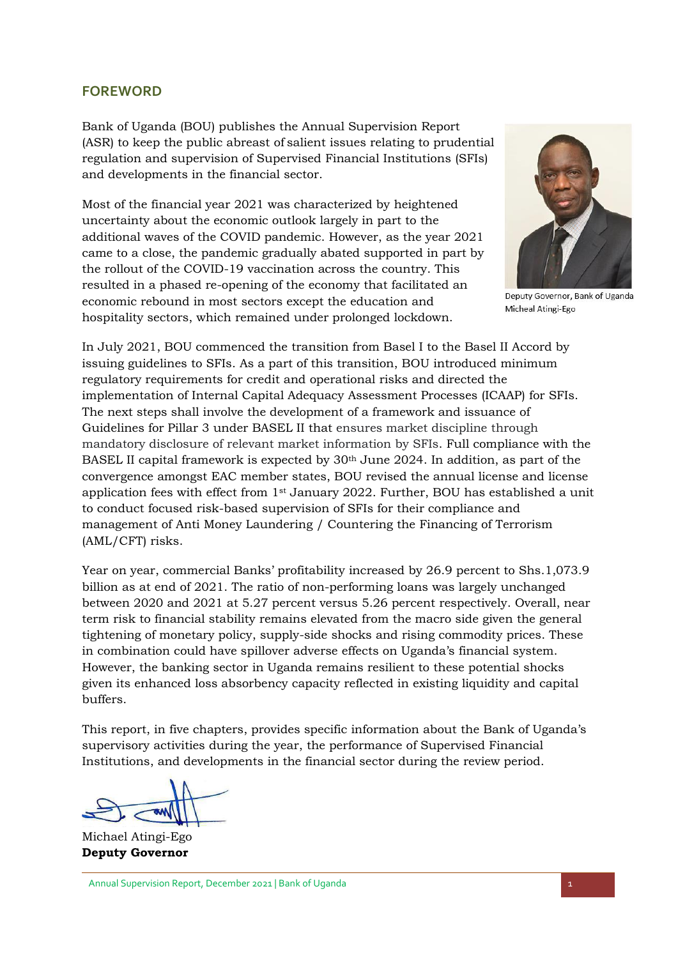### <span id="page-6-0"></span>**FOREWORD**

Bank of Uganda (BOU) publishes the Annual Supervision Report (ASR) to keep the public abreast of salient issues relating to prudential regulation and supervision of Supervised Financial Institutions (SFIs) and developments in the financial sector.

Most of the financial year 2021 was characterized by heightened uncertainty about the economic outlook largely in part to the additional waves of the COVID pandemic. However, as the year 2021 came to a close, the pandemic gradually abated supported in part by the rollout of the COVID-19 vaccination across the country. This resulted in a phased re-opening of the economy that facilitated an economic rebound in most sectors except the education and hospitality sectors, which remained under prolonged lockdown.



Deputy Governor, Bank of Uganda Micheal Atingi-Ego

In July 2021, BOU commenced the transition from Basel I to the Basel II Accord by issuing guidelines to SFIs. As a part of this transition, BOU introduced minimum regulatory requirements for credit and operational risks and directed the implementation of Internal Capital Adequacy Assessment Processes (ICAAP) for SFIs. The next steps shall involve the development of a framework and issuance of Guidelines for Pillar 3 under BASEL II that ensures market discipline through mandatory disclosure of relevant market information by SFIs. Full compliance with the BASEL II capital framework is expected by 30th June 2024. In addition, as part of the convergence amongst EAC member states, BOU revised the annual license and license application fees with effect from 1st January 2022. Further, BOU has established a unit to conduct focused risk-based supervision of SFIs for their compliance and management of Anti Money Laundering / Countering the Financing of Terrorism (AML/CFT) risks.

Year on year, commercial Banks' profitability increased by 26.9 percent to Shs.1,073.9 billion as at end of 2021. The ratio of non-performing loans was largely unchanged between 2020 and 2021 at 5.27 percent versus 5.26 percent respectively. Overall, near term risk to financial stability remains elevated from the macro side given the general tightening of monetary policy, supply-side shocks and rising commodity prices. These in combination could have spillover adverse effects on Uganda's financial system. However, the banking sector in Uganda remains resilient to these potential shocks given its enhanced loss absorbency capacity reflected in existing liquidity and capital buffers.

This report, in five chapters, provides specific information about the Bank of Uganda's supervisory activities during the year, the performance of Supervised Financial Institutions, and developments in the financial sector during the review period.

Michael Atingi-Ego **Deputy Governor**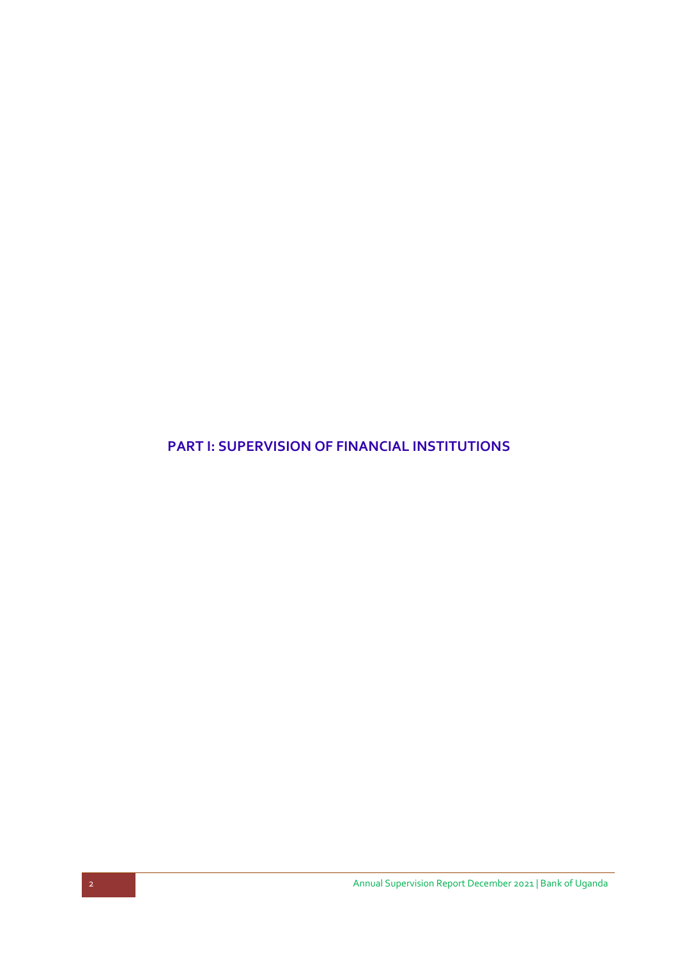<span id="page-7-0"></span>**PART I: SUPERVISION OF FINANCIAL INSTITUTIONS**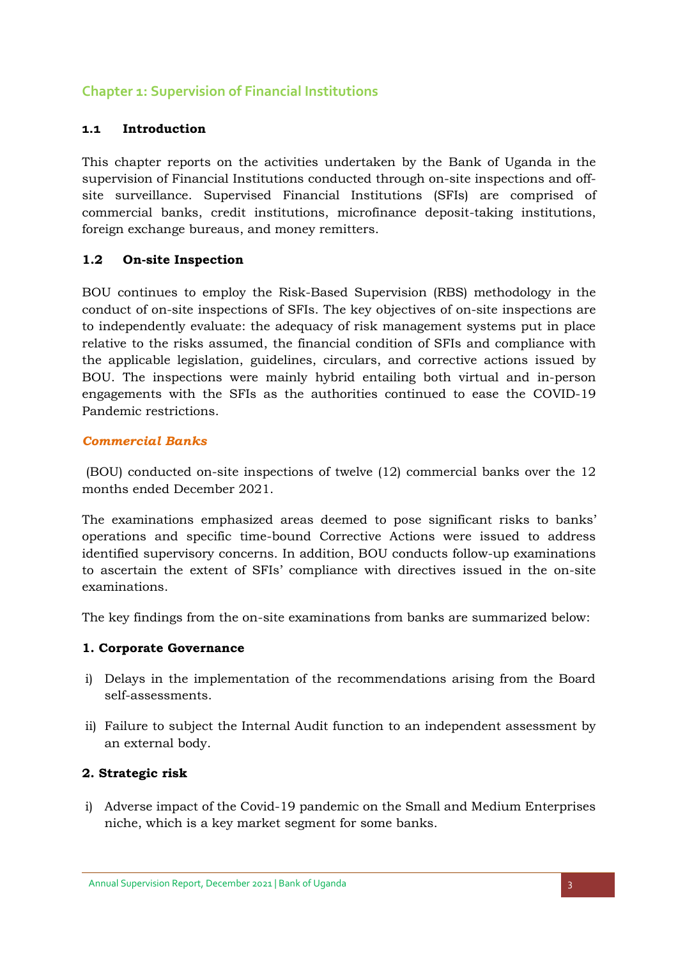# <span id="page-8-0"></span>**Chapter 1: Supervision of Financial Institutions**

## <span id="page-8-1"></span>**1.1 Introduction**

This chapter reports on the activities undertaken by the Bank of Uganda in the supervision of Financial Institutions conducted through on-site inspections and offsite surveillance. Supervised Financial Institutions (SFIs) are comprised of commercial banks, credit institutions, microfinance deposit-taking institutions, foreign exchange bureaus, and money remitters.

## <span id="page-8-2"></span>**1.2 On-site Inspection**

BOU continues to employ the Risk-Based Supervision (RBS) methodology in the conduct of on-site inspections of SFIs. The key objectives of on-site inspections are to independently evaluate: the adequacy of risk management systems put in place relative to the risks assumed, the financial condition of SFIs and compliance with the applicable legislation, guidelines, circulars, and corrective actions issued by BOU. The inspections were mainly hybrid entailing both virtual and in-person engagements with the SFIs as the authorities continued to ease the COVID-19 Pandemic restrictions.

### *Commercial Banks*

(BOU) conducted on-site inspections of twelve (12) commercial banks over the 12 months ended December 2021.

The examinations emphasized areas deemed to pose significant risks to banks' operations and specific time-bound Corrective Actions were issued to address identified supervisory concerns. In addition, BOU conducts follow-up examinations to ascertain the extent of SFIs' compliance with directives issued in the on-site examinations.

The key findings from the on-site examinations from banks are summarized below:

### **1. Corporate Governance**

- i) Delays in the implementation of the recommendations arising from the Board self-assessments.
- ii) Failure to subject the Internal Audit function to an independent assessment by an external body.

### **2. Strategic risk**

i) Adverse impact of the Covid-19 pandemic on the Small and Medium Enterprises niche, which is a key market segment for some banks.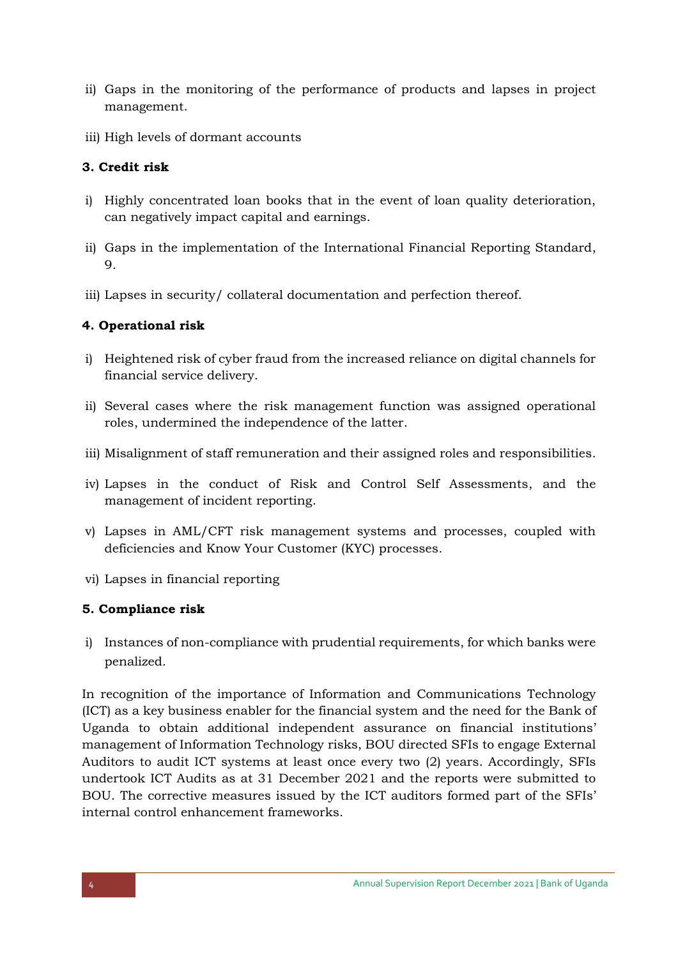- ii) Gaps in the monitoring of the performance of products and lapses in project management.
- iii) High levels of dormant accounts

## **3. Credit risk**

- i) Highly concentrated loan books that in the event of loan quality deterioration, can negatively impact capital and earnings.
- ii) Gaps in the implementation of the International Financial Reporting Standard, 9.
- iii) Lapses in security/ collateral documentation and perfection thereof.

## **4. Operational risk**

- i) Heightened risk of cyber fraud from the increased reliance on digital channels for financial service delivery.
- ii) Several cases where the risk management function was assigned operational roles, undermined the independence of the latter.
- iii) Misalignment of staff remuneration and their assigned roles and responsibilities.
- iv) Lapses in the conduct of Risk and Control Self Assessments, and the management of incident reporting.
- v) Lapses in AML/CFT risk management systems and processes, coupled with deficiencies and Know Your Customer (KYC) processes.
- vi) Lapses in financial reporting

## **5. Compliance risk**

i) Instances of non-compliance with prudential requirements, for which banks were penalized.

In recognition of the importance of Information and Communications Technology (ICT) as a key business enabler for the financial system and the need for the Bank of Uganda to obtain additional independent assurance on financial institutions' management of Information Technology risks, BOU directed SFIs to engage External Auditors to audit ICT systems at least once every two (2) years. Accordingly, SFIs undertook ICT Audits as at 31 December 2021 and the reports were submitted to BOU. The corrective measures issued by the ICT auditors formed part of the SFIs' internal control enhancement frameworks.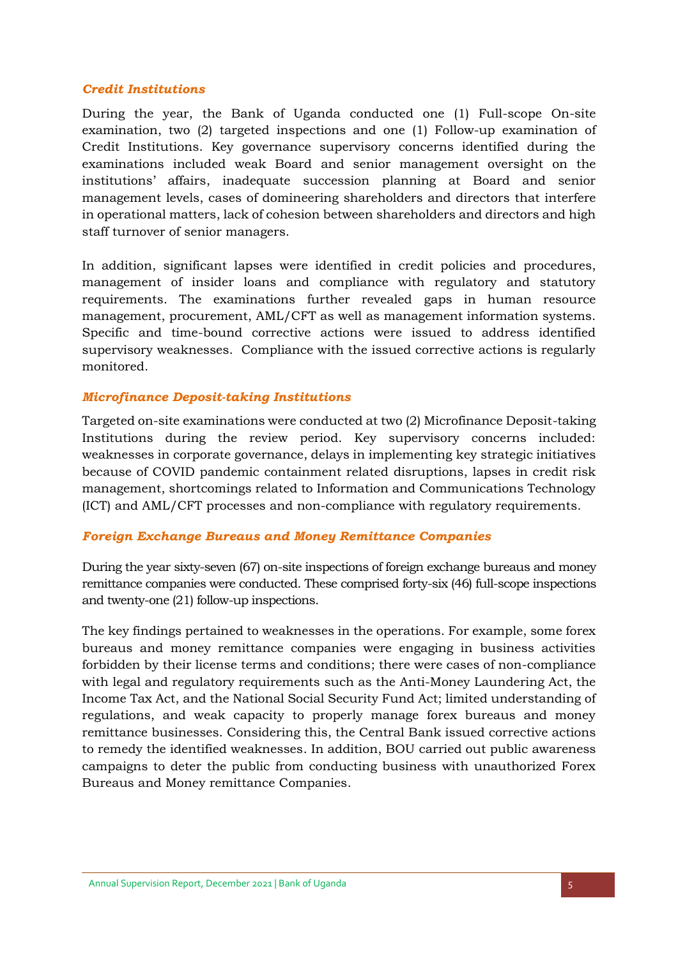#### *Credit Institutions*

During the year, the Bank of Uganda conducted one (1) Full-scope On-site examination, two (2) targeted inspections and one (1) Follow-up examination of Credit Institutions. Key governance supervisory concerns identified during the examinations included weak Board and senior management oversight on the institutions' affairs, inadequate succession planning at Board and senior management levels, cases of domineering shareholders and directors that interfere in operational matters, lack of cohesion between shareholders and directors and high staff turnover of senior managers.

In addition, significant lapses were identified in credit policies and procedures, management of insider loans and compliance with regulatory and statutory requirements. The examinations further revealed gaps in human resource management, procurement, AML/CFT as well as management information systems. Specific and time-bound corrective actions were issued to address identified supervisory weaknesses. Compliance with the issued corrective actions is regularly monitored.

### *Microfinance Deposit-taking Institutions*

Targeted on-site examinations were conducted at two (2) Microfinance Deposit-taking Institutions during the review period. Key supervisory concerns included: weaknesses in corporate governance, delays in implementing key strategic initiatives because of COVID pandemic containment related disruptions, lapses in credit risk management, shortcomings related to Information and Communications Technology (ICT) and AML/CFT processes and non-compliance with regulatory requirements.

#### *Foreign Exchange Bureaus and Money Remittance Companies*

During the year sixty-seven (67) on-site inspections of foreign exchange bureaus and money remittance companies were conducted. These comprised forty-six (46) full-scope inspections and twenty-one (21) follow-up inspections.

The key findings pertained to weaknesses in the operations. For example, some forex bureaus and money remittance companies were engaging in business activities forbidden by their license terms and conditions; there were cases of non-compliance with legal and regulatory requirements such as the Anti-Money Laundering Act, the Income Tax Act, and the National Social Security Fund Act; limited understanding of regulations, and weak capacity to properly manage forex bureaus and money remittance businesses. Considering this, the Central Bank issued corrective actions to remedy the identified weaknesses. In addition, BOU carried out public awareness campaigns to deter the public from conducting business with unauthorized Forex Bureaus and Money remittance Companies.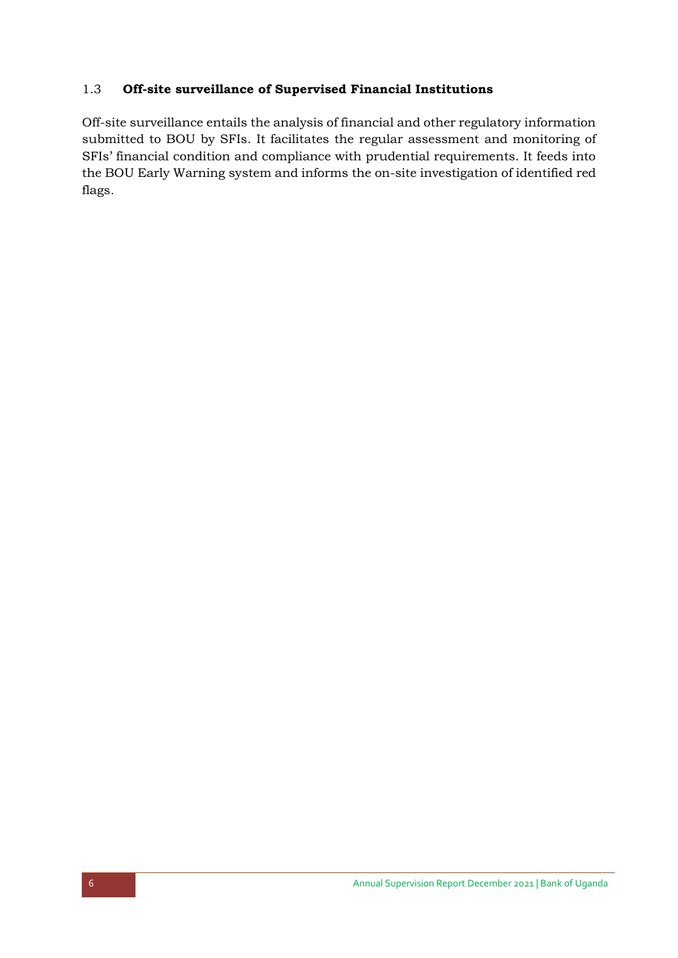## <span id="page-11-0"></span>1.3 **Off-site surveillance of Supervised Financial Institutions**

Off-site surveillance entails the analysis of financial and other regulatory information submitted to BOU by SFIs. It facilitates the regular assessment and monitoring of SFIs' financial condition and compliance with prudential requirements. It feeds into the BOU Early Warning system and informs the on-site investigation of identified red flags*.*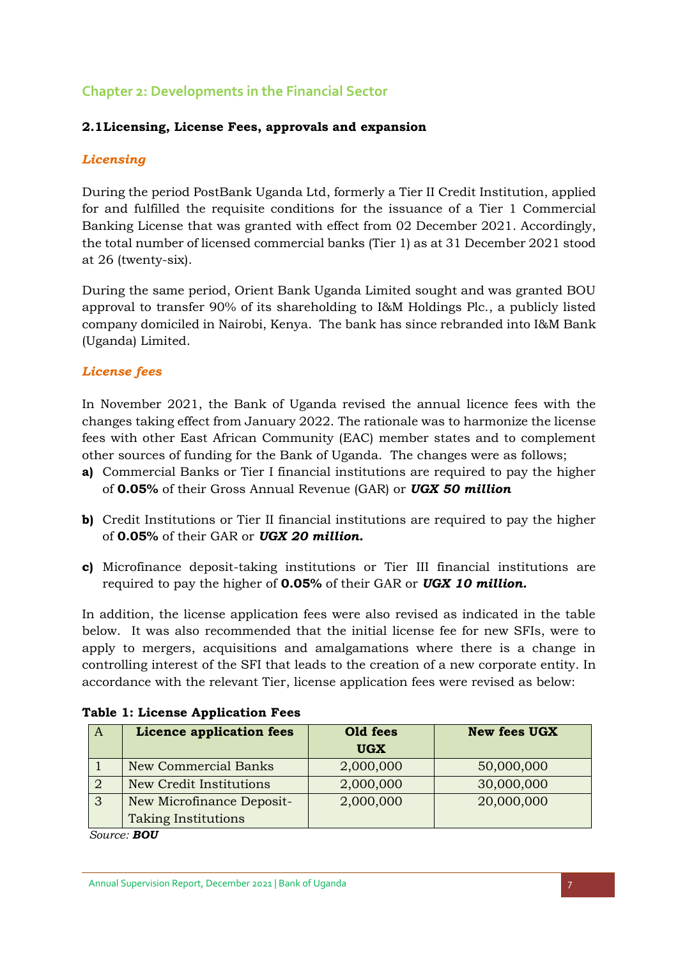# <span id="page-12-0"></span>**Chapter 2: Developments in the Financial Sector**

## <span id="page-12-1"></span>**2.1Licensing, License Fees, approvals and expansion**

## *Licensing*

During the period PostBank Uganda Ltd, formerly a Tier II Credit Institution, applied for and fulfilled the requisite conditions for the issuance of a Tier 1 Commercial Banking License that was granted with effect from 02 December 2021. Accordingly, the total number of licensed commercial banks (Tier 1) as at 31 December 2021 stood at 26 (twenty-six).

During the same period, Orient Bank Uganda Limited sought and was granted BOU approval to transfer 90% of its shareholding to I&M Holdings Plc., a publicly listed company domiciled in Nairobi, Kenya. The bank has since rebranded into I&M Bank (Uganda) Limited.

## *License fees*

In November 2021, the Bank of Uganda revised the annual licence fees with the changes taking effect from January 2022. The rationale was to harmonize the license fees with other East African Community (EAC) member states and to complement other sources of funding for the Bank of Uganda. The changes were as follows;

- **a)** Commercial Banks or Tier I financial institutions are required to pay the higher of **0.05%** of their Gross Annual Revenue (GAR) or *UGX 50 million*
- **b)** Credit Institutions or Tier II financial institutions are required to pay the higher of **0.05%** of their GAR or *UGX 20 million.*
- **c)** Microfinance deposit-taking institutions or Tier III financial institutions are required to pay the higher of **0.05%** of their GAR or *UGX 10 million.*

In addition, the license application fees were also revised as indicated in the table below. It was also recommended that the initial license fee for new SFIs, were to apply to mergers, acquisitions and amalgamations where there is a change in controlling interest of the SFI that leads to the creation of a new corporate entity. In accordance with the relevant Tier, license application fees were revised as below:

| A | <b>Licence application fees</b> | Old fees<br><b>UGX</b> | <b>New fees UGX</b> |
|---|---------------------------------|------------------------|---------------------|
|   | <b>New Commercial Banks</b>     | 2,000,000              | 50,000,000          |
|   | <b>New Credit Institutions</b>  | 2,000,000              | 30,000,000          |
| 3 | New Microfinance Deposit-       | 2,000,000              | 20,000,000          |
|   | <b>Taking Institutions</b>      |                        |                     |

<span id="page-12-2"></span>

| <b>Table 1: License Application Fees</b> |  |  |  |
|------------------------------------------|--|--|--|
|------------------------------------------|--|--|--|

 *Source: BOU*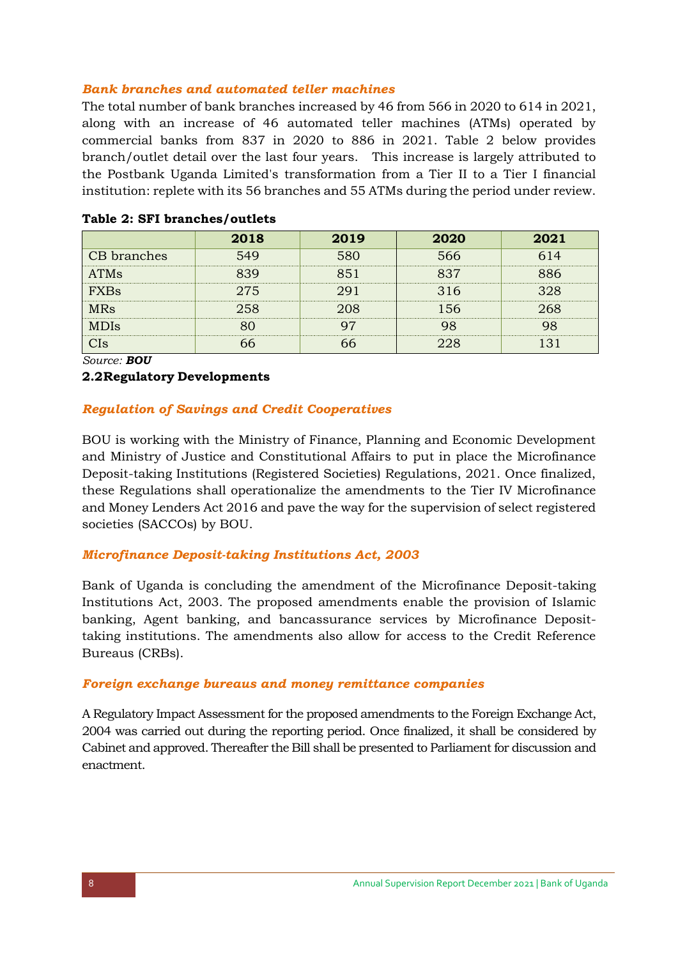### *Bank branches and automated teller machines*

The total number of bank branches increased by 46 from 566 in 2020 to 614 in 2021, along with an increase of 46 automated teller machines (ATMs) operated by commercial banks from 837 in 2020 to 886 in 2021. Table 2 below provides branch/outlet detail over the last four years. This increase is largely attributed to the Postbank Uganda Limited's transformation from a Tier II to a Tier I financial institution: replete with its 56 branches and 55 ATMs during the period under review.

|             | 2018 | 2019 | 2020 | 2021 |
|-------------|------|------|------|------|
| CB branches | 549  | 580  | 566  | 614  |
| ATMs        | 839  | 851  | 837  | 886  |
| <b>FXBs</b> | 275  | 291  | 316  | 328  |
| <b>MRs</b>  | 258  | 208  | 156  | 268  |
| <b>MDIs</b> | חפ   |      |      |      |
|             | 66   |      | 228  | -31  |

#### <span id="page-13-1"></span>**Table 2: SFI branches/outlets**

*Source: BOU*

#### <span id="page-13-0"></span>**2.2Regulatory Developments**

#### *Regulation of Savings and Credit Cooperatives*

BOU is working with the Ministry of Finance, Planning and Economic Development and Ministry of Justice and Constitutional Affairs to put in place the Microfinance Deposit-taking Institutions (Registered Societies) Regulations, 2021. Once finalized, these Regulations shall operationalize the amendments to the Tier IV Microfinance and Money Lenders Act 2016 and pave the way for the supervision of select registered societies (SACCOs) by BOU.

### *Microfinance Deposit-taking Institutions Act, 2003*

Bank of Uganda is concluding the amendment of the Microfinance Deposit-taking Institutions Act, 2003. The proposed amendments enable the provision of Islamic banking, Agent banking, and bancassurance services by Microfinance Deposittaking institutions. The amendments also allow for access to the Credit Reference Bureaus (CRBs).

#### *Foreign exchange bureaus and money remittance companies*

A Regulatory Impact Assessment for the proposed amendments to the Foreign Exchange Act, 2004 was carried out during the reporting period. Once finalized, it shall be considered by Cabinet and approved. Thereafter the Bill shall be presented to Parliament for discussion and enactment.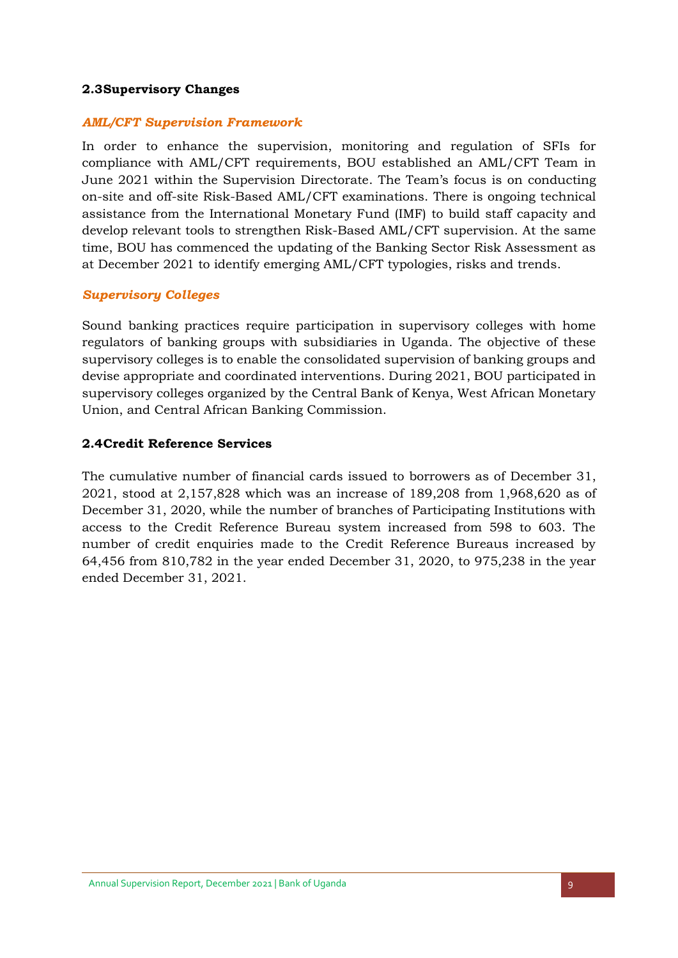### <span id="page-14-0"></span>**2.3Supervisory Changes**

#### *AML/CFT Supervision Framework*

In order to enhance the supervision, monitoring and regulation of SFIs for compliance with AML/CFT requirements, BOU established an AML/CFT Team in June 2021 within the Supervision Directorate. The Team's focus is on conducting on-site and off-site Risk-Based AML/CFT examinations. There is ongoing technical assistance from the International Monetary Fund (IMF) to build staff capacity and develop relevant tools to strengthen Risk-Based AML/CFT supervision. At the same time, BOU has commenced the updating of the Banking Sector Risk Assessment as at December 2021 to identify emerging AML/CFT typologies, risks and trends.

#### *Supervisory Colleges*

Sound banking practices require participation in supervisory colleges with home regulators of banking groups with subsidiaries in Uganda. The objective of these supervisory colleges is to enable the consolidated supervision of banking groups and devise appropriate and coordinated interventions. During 2021, BOU participated in supervisory colleges organized by the Central Bank of Kenya, West African Monetary Union, and Central African Banking Commission.

### <span id="page-14-1"></span>**2.4Credit Reference Services**

The cumulative number of financial cards issued to borrowers as of December 31, 2021, stood at 2,157,828 which was an increase of 189,208 from 1,968,620 as of December 31, 2020, while the number of branches of Participating Institutions with access to the Credit Reference Bureau system increased from 598 to 603. The number of credit enquiries made to the Credit Reference Bureaus increased by 64,456 from 810,782 in the year ended December 31, 2020, to 975,238 in the year ended December 31, 2021.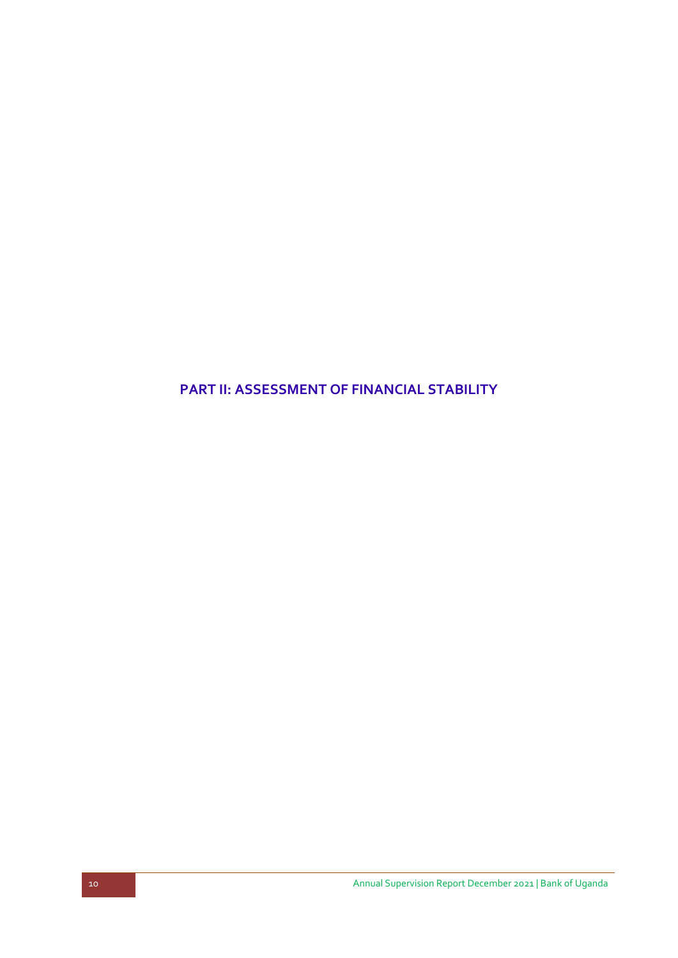<span id="page-15-0"></span>**PART II: ASSESSMENT OF FINANCIAL STABILITY**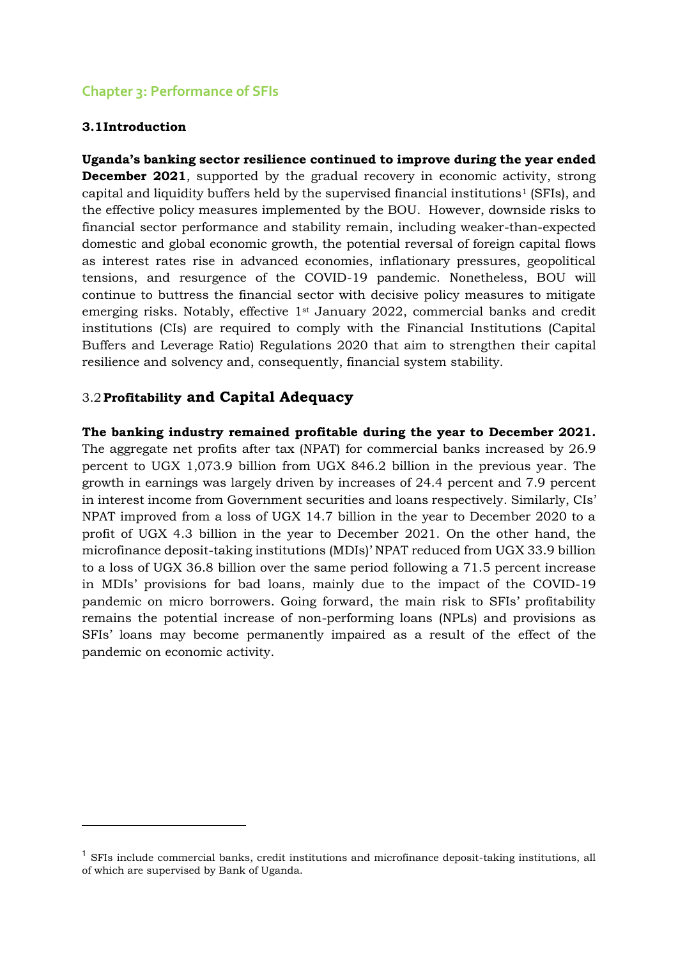## <span id="page-16-0"></span>**Chapter 3: Performance of SFIs**

### <span id="page-16-1"></span>**3.1Introduction**

**Uganda's banking sector resilience continued to improve during the year ended December 2021**, supported by the gradual recovery in economic activity, strong capital and liquidity buffers held by the supervised financial institutions<sup>1</sup> (SFIs), and the effective policy measures implemented by the BOU. However, downside risks to financial sector performance and stability remain, including weaker-than-expected domestic and global economic growth, the potential reversal of foreign capital flows as interest rates rise in advanced economies, inflationary pressures, geopolitical tensions, and resurgence of the COVID-19 pandemic. Nonetheless, BOU will continue to buttress the financial sector with decisive policy measures to mitigate emerging risks. Notably, effective 1st January 2022, commercial banks and credit institutions (CIs) are required to comply with the Financial Institutions (Capital Buffers and Leverage Ratio) Regulations 2020 that aim to strengthen their capital resilience and solvency and, consequently, financial system stability.

## <span id="page-16-2"></span>3.2**Profitability and Capital Adequacy**

**The banking industry remained profitable during the year to December 2021.** The aggregate net profits after tax (NPAT) for commercial banks increased by 26.9 percent to UGX 1,073.9 billion from UGX 846.2 billion in the previous year. The growth in earnings was largely driven by increases of 24.4 percent and 7.9 percent in interest income from Government securities and loans respectively. Similarly, CIs' NPAT improved from a loss of UGX 14.7 billion in the year to December 2020 to a profit of UGX 4.3 billion in the year to December 2021. On the other hand, the microfinance deposit-taking institutions (MDIs)' NPAT reduced from UGX 33.9 billion to a loss of UGX 36.8 billion over the same period following a 71.5 percent increase in MDIs' provisions for bad loans, mainly due to the impact of the COVID-19 pandemic on micro borrowers. Going forward, the main risk to SFIs' profitability remains the potential increase of non-performing loans (NPLs) and provisions as SFIs' loans may become permanently impaired as a result of the effect of the pandemic on economic activity.

<sup>&</sup>lt;sup>1</sup> SFIs include commercial banks, credit institutions and microfinance deposit-taking institutions, all of which are supervised by Bank of Uganda.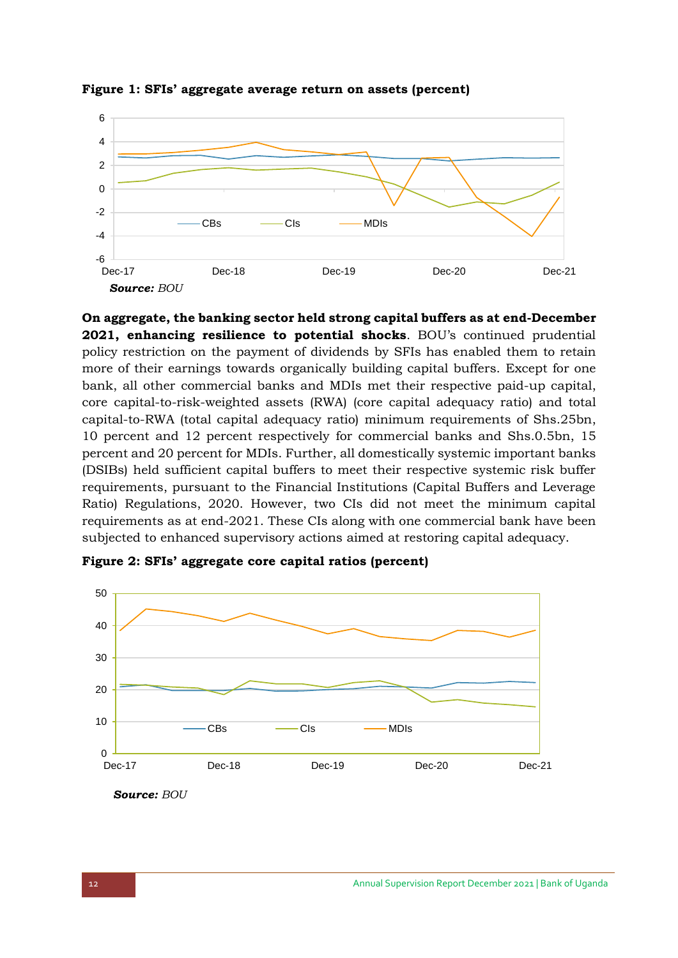

<span id="page-17-0"></span>**Figure 1: SFIs' aggregate average return on assets (percent)**

**On aggregate, the banking sector held strong capital buffers as at end-December 2021, enhancing resilience to potential shocks**. BOU's continued prudential policy restriction on the payment of dividends by SFIs has enabled them to retain more of their earnings towards organically building capital buffers. Except for one bank, all other commercial banks and MDIs met their respective paid-up capital, core capital-to-risk-weighted assets (RWA) (core capital adequacy ratio) and total capital-to-RWA (total capital adequacy ratio) minimum requirements of Shs.25bn, 10 percent and 12 percent respectively for commercial banks and Shs.0.5bn, 15 percent and 20 percent for MDIs. Further, all domestically systemic important banks (DSIBs) held sufficient capital buffers to meet their respective systemic risk buffer requirements, pursuant to the Financial Institutions (Capital Buffers and Leverage Ratio) Regulations, 2020. However, two CIs did not meet the minimum capital requirements as at end-2021. These CIs along with one commercial bank have been subjected to enhanced supervisory actions aimed at restoring capital adequacy.



<span id="page-17-1"></span>**Figure 2: SFIs' aggregate core capital ratios (percent)**

*Source: BOU*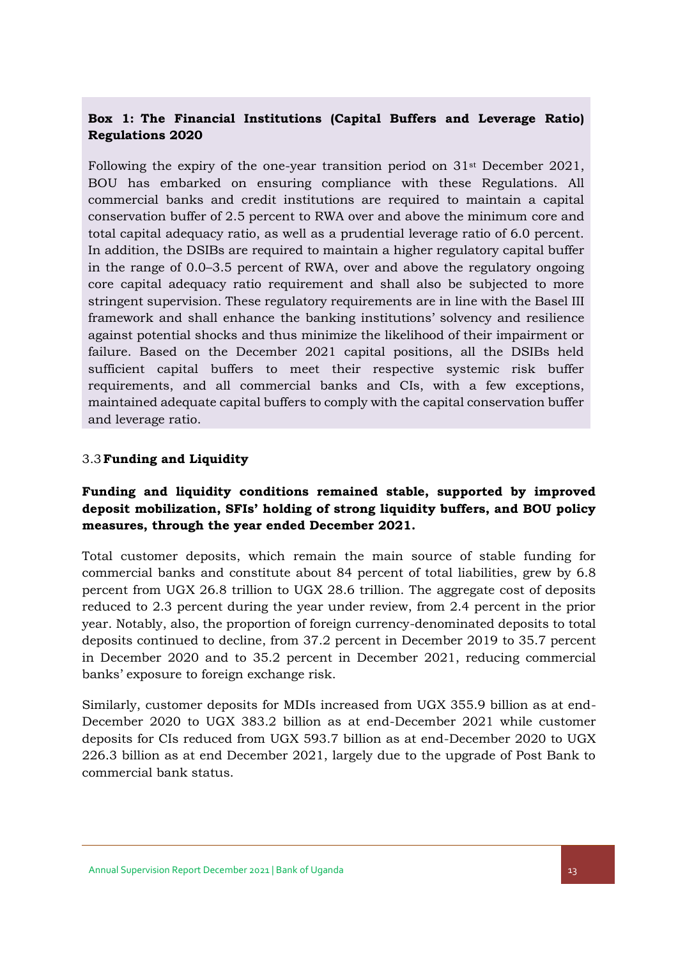## **Box 1: The Financial Institutions (Capital Buffers and Leverage Ratio) Regulations 2020**

Following the expiry of the one-year transition period on  $31<sup>st</sup>$  December 2021, BOU has embarked on ensuring compliance with these Regulations. All commercial banks and credit institutions are required to maintain a capital conservation buffer of 2.5 percent to RWA over and above the minimum core and total capital adequacy ratio, as well as a prudential leverage ratio of 6.0 percent. In addition, the DSIBs are required to maintain a higher regulatory capital buffer in the range of 0.0–3.5 percent of RWA, over and above the regulatory ongoing core capital adequacy ratio requirement and shall also be subjected to more stringent supervision. These regulatory requirements are in line with the Basel III framework and shall enhance the banking institutions' solvency and resilience against potential shocks and thus minimize the likelihood of their impairment or failure. Based on the December 2021 capital positions, all the DSIBs held sufficient capital buffers to meet their respective systemic risk buffer requirements, and all commercial banks and CIs, with a few exceptions, maintained adequate capital buffers to comply with the capital conservation buffer and leverage ratio.

### <span id="page-18-0"></span>3.3**Funding and Liquidity**

## **Funding and liquidity conditions remained stable, supported by improved deposit mobilization, SFIs' holding of strong liquidity buffers, and BOU policy measures, through the year ended December 2021.**

Total customer deposits, which remain the main source of stable funding for commercial banks and constitute about 84 percent of total liabilities, grew by 6.8 percent from UGX 26.8 trillion to UGX 28.6 trillion. The aggregate cost of deposits reduced to 2.3 percent during the year under review, from 2.4 percent in the prior year. Notably, also, the proportion of foreign currency-denominated deposits to total deposits continued to decline, from 37.2 percent in December 2019 to 35.7 percent in December 2020 and to 35.2 percent in December 2021, reducing commercial banks' exposure to foreign exchange risk.

Similarly, customer deposits for MDIs increased from UGX 355.9 billion as at end-December 2020 to UGX 383.2 billion as at end-December 2021 while customer deposits for CIs reduced from UGX 593.7 billion as at end-December 2020 to UGX 226.3 billion as at end December 2021, largely due to the upgrade of Post Bank to commercial bank status.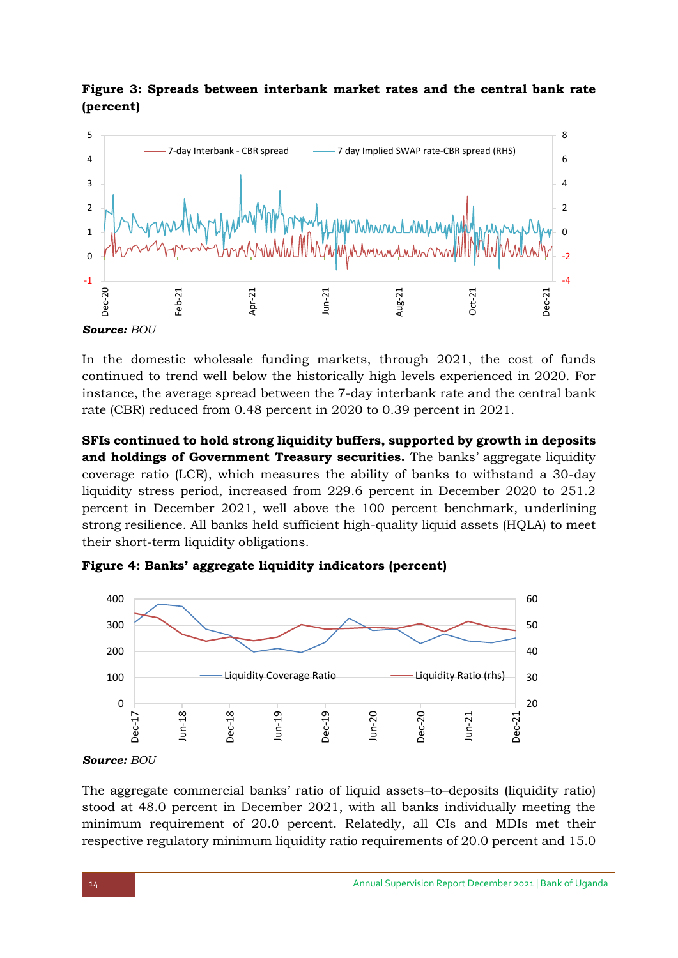## <span id="page-19-0"></span>**Figure 3: Spreads between interbank market rates and the central bank rate (percent)**



In the domestic wholesale funding markets, through 2021, the cost of funds continued to trend well below the historically high levels experienced in 2020. For instance, the average spread between the 7-day interbank rate and the central bank rate (CBR) reduced from 0.48 percent in 2020 to 0.39 percent in 2021.

**SFIs continued to hold strong liquidity buffers, supported by growth in deposits and holdings of Government Treasury securities.** The banks' aggregate liquidity coverage ratio (LCR), which measures the ability of banks to withstand a 30-day liquidity stress period, increased from 229.6 percent in December 2020 to 251.2 percent in December 2021, well above the 100 percent benchmark, underlining strong resilience. All banks held sufficient high-quality liquid assets (HQLA) to meet their short-term liquidity obligations.



<span id="page-19-1"></span>**Figure 4: Banks' aggregate liquidity indicators (percent)**

The aggregate commercial banks' ratio of liquid assets–to–deposits (liquidity ratio) stood at 48.0 percent in December 2021, with all banks individually meeting the minimum requirement of 20.0 percent. Relatedly, all CIs and MDIs met their respective regulatory minimum liquidity ratio requirements of 20.0 percent and 15.0

*Source: BOU*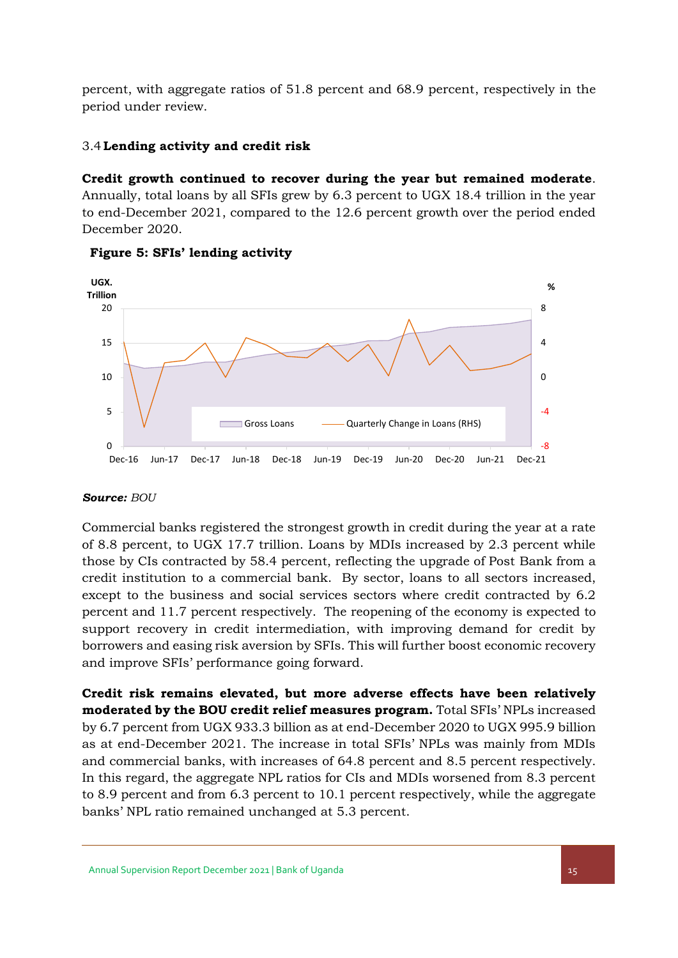percent, with aggregate ratios of 51.8 percent and 68.9 percent, respectively in the period under review.

### <span id="page-20-0"></span>3.4**Lending activity and credit risk**

**Credit growth continued to recover during the year but remained moderate**. Annually, total loans by all SFIs grew by 6.3 percent to UGX 18.4 trillion in the year to end-December 2021, compared to the 12.6 percent growth over the period ended December 2020.





#### *Source: BOU*

Commercial banks registered the strongest growth in credit during the year at a rate of 8.8 percent, to UGX 17.7 trillion. Loans by MDIs increased by 2.3 percent while those by CIs contracted by 58.4 percent, reflecting the upgrade of Post Bank from a credit institution to a commercial bank. By sector, loans to all sectors increased, except to the business and social services sectors where credit contracted by 6.2 percent and 11.7 percent respectively. The reopening of the economy is expected to support recovery in credit intermediation, with improving demand for credit by borrowers and easing risk aversion by SFIs. This will further boost economic recovery and improve SFIs' performance going forward.

**Credit risk remains elevated, but more adverse effects have been relatively moderated by the BOU credit relief measures program.** Total SFIs' NPLs increased by 6.7 percent from UGX 933.3 billion as at end-December 2020 to UGX 995.9 billion as at end-December 2021. The increase in total SFIs' NPLs was mainly from MDIs and commercial banks, with increases of 64.8 percent and 8.5 percent respectively. In this regard, the aggregate NPL ratios for CIs and MDIs worsened from 8.3 percent to 8.9 percent and from 6.3 percent to 10.1 percent respectively, while the aggregate banks' NPL ratio remained unchanged at 5.3 percent.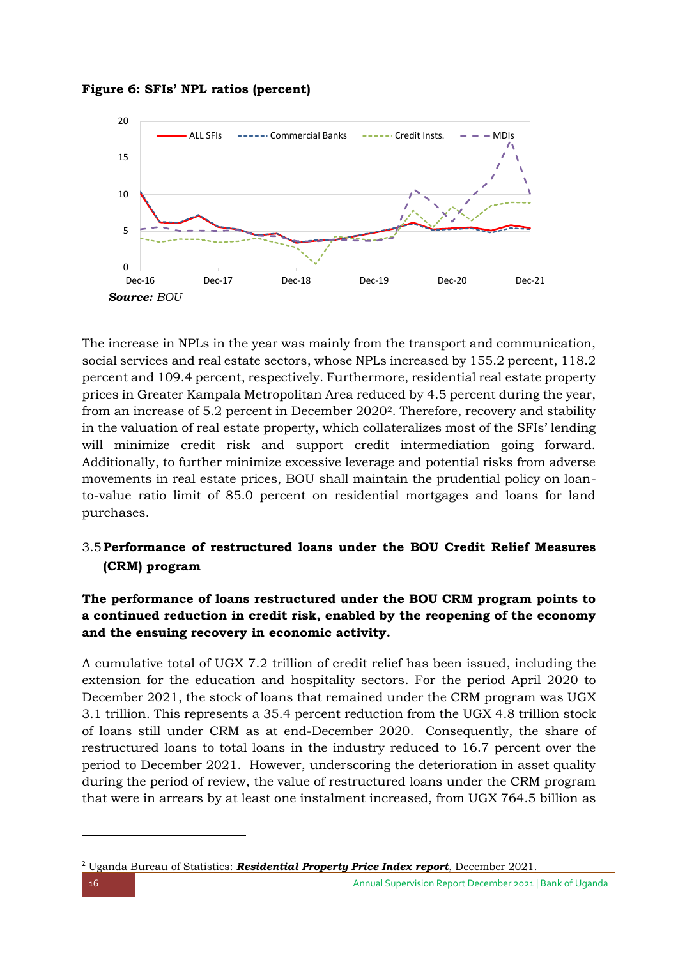<span id="page-21-1"></span>**Figure 6: SFIs' NPL ratios (percent)**



The increase in NPLs in the year was mainly from the transport and communication, social services and real estate sectors, whose NPLs increased by 155.2 percent, 118.2 percent and 109.4 percent, respectively. Furthermore, residential real estate property prices in Greater Kampala Metropolitan Area reduced by 4.5 percent during the year, from an increase of 5.2 percent in December 20202. Therefore, recovery and stability in the valuation of real estate property, which collateralizes most of the SFIs' lending will minimize credit risk and support credit intermediation going forward. Additionally, to further minimize excessive leverage and potential risks from adverse movements in real estate prices, BOU shall maintain the prudential policy on loanto-value ratio limit of 85.0 percent on residential mortgages and loans for land purchases.

# <span id="page-21-0"></span>3.5**Performance of restructured loans under the BOU Credit Relief Measures (CRM) program**

# **The performance of loans restructured under the BOU CRM program points to a continued reduction in credit risk, enabled by the reopening of the economy and the ensuing recovery in economic activity.**

A cumulative total of UGX 7.2 trillion of credit relief has been issued, including the extension for the education and hospitality sectors. For the period April 2020 to December 2021, the stock of loans that remained under the CRM program was UGX 3.1 trillion. This represents a 35.4 percent reduction from the UGX 4.8 trillion stock of loans still under CRM as at end-December 2020. Consequently, the share of restructured loans to total loans in the industry reduced to 16.7 percent over the period to December 2021. However, underscoring the deterioration in asset quality during the period of review, the value of restructured loans under the CRM program that were in arrears by at least one instalment increased, from UGX 764.5 billion as

<sup>2</sup> Uganda Bureau of Statistics: *Residential Property Price Index report*, December 2021.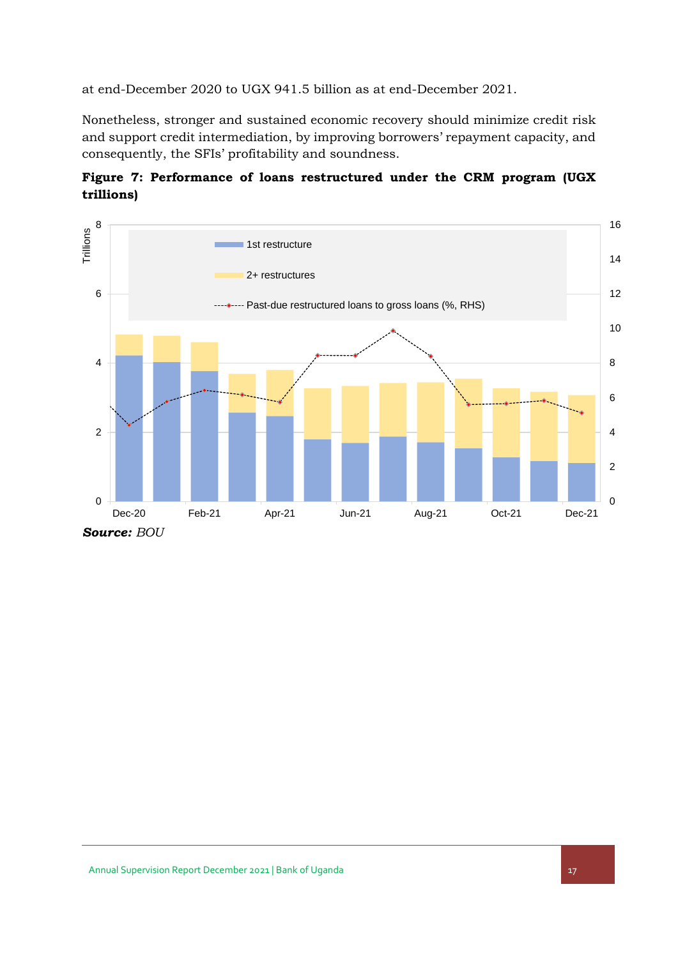at end-December 2020 to UGX 941.5 billion as at end-December 2021.

Nonetheless, stronger and sustained economic recovery should minimize credit risk and support credit intermediation, by improving borrowers' repayment capacity, and consequently, the SFIs' profitability and soundness.

<span id="page-22-0"></span>



*Source: BOU*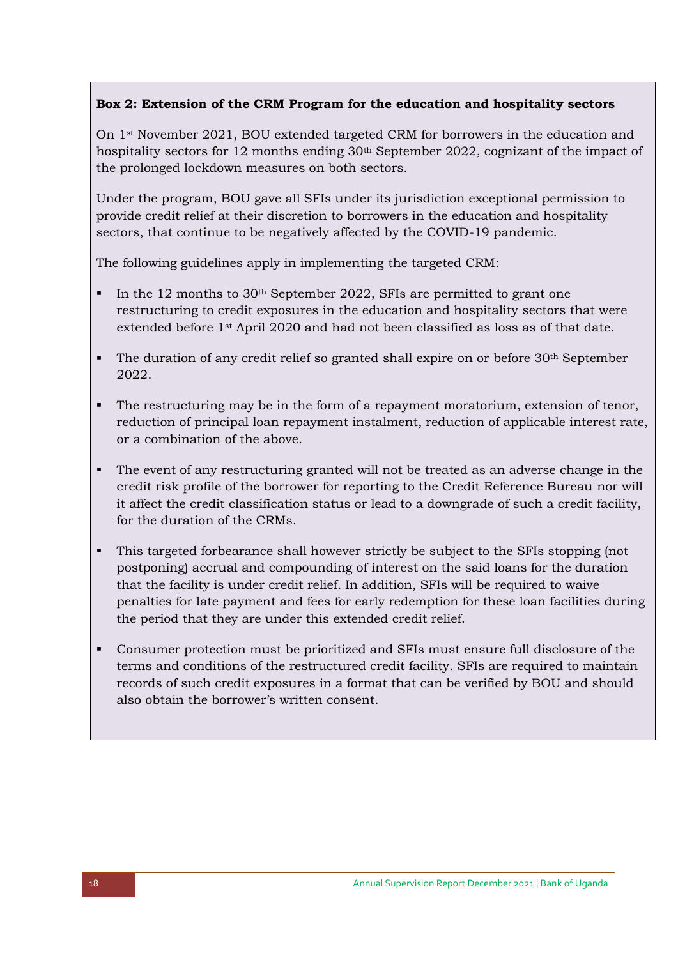## **Box 2: Extension of the CRM Program for the education and hospitality sectors**

On 1st November 2021, BOU extended targeted CRM for borrowers in the education and hospitality sectors for 12 months ending 30th September 2022, cognizant of the impact of the prolonged lockdown measures on both sectors.

Under the program, BOU gave all SFIs under its jurisdiction exceptional permission to provide credit relief at their discretion to borrowers in the education and hospitality sectors, that continue to be negatively affected by the COVID-19 pandemic.

The following guidelines apply in implementing the targeted CRM:

- In the 12 months to 30<sup>th</sup> September 2022, SFIs are permitted to grant one restructuring to credit exposures in the education and hospitality sectors that were extended before 1st April 2020 and had not been classified as loss as of that date.
- The duration of any credit relief so granted shall expire on or before 30<sup>th</sup> September 2022.
- The restructuring may be in the form of a repayment moratorium, extension of tenor, reduction of principal loan repayment instalment, reduction of applicable interest rate, or a combination of the above.
- The event of any restructuring granted will not be treated as an adverse change in the credit risk profile of the borrower for reporting to the Credit Reference Bureau nor will it affect the credit classification status or lead to a downgrade of such a credit facility, for the duration of the CRMs.
- This targeted forbearance shall however strictly be subject to the SFIs stopping (not postponing) accrual and compounding of interest on the said loans for the duration that the facility is under credit relief. In addition, SFIs will be required to waive penalties for late payment and fees for early redemption for these loan facilities during the period that they are under this extended credit relief.
- Consumer protection must be prioritized and SFIs must ensure full disclosure of the terms and conditions of the restructured credit facility. SFIs are required to maintain records of such credit exposures in a format that can be verified by BOU and should also obtain the borrower's written consent.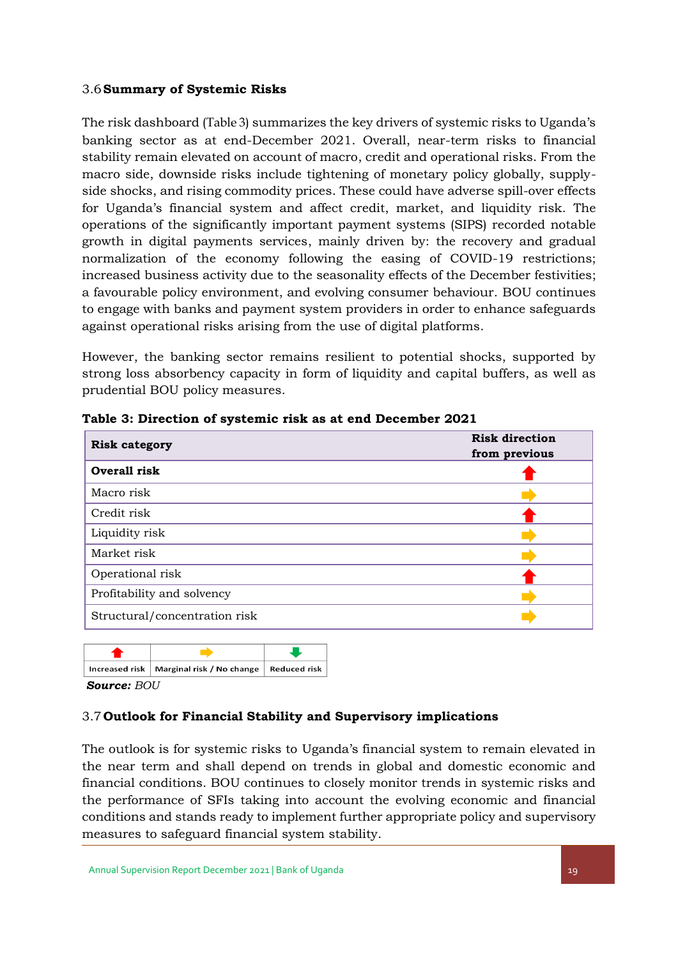### <span id="page-24-0"></span>3.6**Summary of Systemic Risks**

The risk dashboard ([Table 3](#page-24-2)) summarizes the key drivers of systemic risks to Uganda's banking sector as at end-December 2021. Overall, near-term risks to financial stability remain elevated on account of macro, credit and operational risks. From the macro side, downside risks include tightening of monetary policy globally, supplyside shocks, and rising commodity prices. These could have adverse spill-over effects for Uganda's financial system and affect credit, market, and liquidity risk. The operations of the significantly important payment systems (SIPS) recorded notable growth in digital payments services, mainly driven by: the recovery and gradual normalization of the economy following the easing of COVID-19 restrictions; increased business activity due to the seasonality effects of the December festivities; a favourable policy environment, and evolving consumer behaviour. BOU continues to engage with banks and payment system providers in order to enhance safeguards against operational risks arising from the use of digital platforms.

However, the banking sector remains resilient to potential shocks, supported by strong loss absorbency capacity in form of liquidity and capital buffers, as well as prudential BOU policy measures.

| <b>Risk category</b>          | <b>Risk direction</b> |
|-------------------------------|-----------------------|
|                               | from previous         |
| Overall risk                  |                       |
| Macro risk                    |                       |
| Credit risk                   |                       |
| Liquidity risk                |                       |
| Market risk                   |                       |
| Operational risk              |                       |
| Profitability and solvency    |                       |
| Structural/concentration risk |                       |
|                               |                       |

<span id="page-24-2"></span>**Table 3: Direction of systemic risk as at end December 2021**

|                    | Increased risk   Marginal risk / No change   Reduced risk |  |  |  |  |  |  |
|--------------------|-----------------------------------------------------------|--|--|--|--|--|--|
| <b>Source: BOU</b> |                                                           |  |  |  |  |  |  |

### <span id="page-24-1"></span>3.7 **Outlook for Financial Stability and Supervisory implications**

The outlook is for systemic risks to Uganda's financial system to remain elevated in the near term and shall depend on trends in global and domestic economic and financial conditions. BOU continues to closely monitor trends in systemic risks and the performance of SFIs taking into account the evolving economic and financial conditions and stands ready to implement further appropriate policy and supervisory measures to safeguard financial system stability.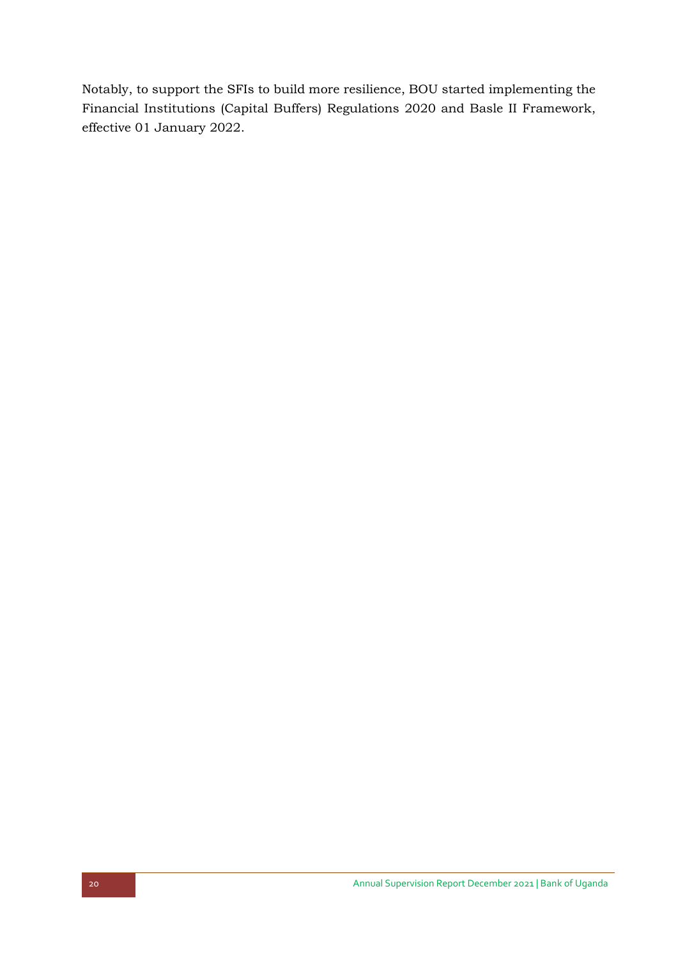Notably, to support the SFIs to build more resilience, BOU started implementing the Financial Institutions (Capital Buffers) Regulations 2020 and Basle II Framework, effective 01 January 2022.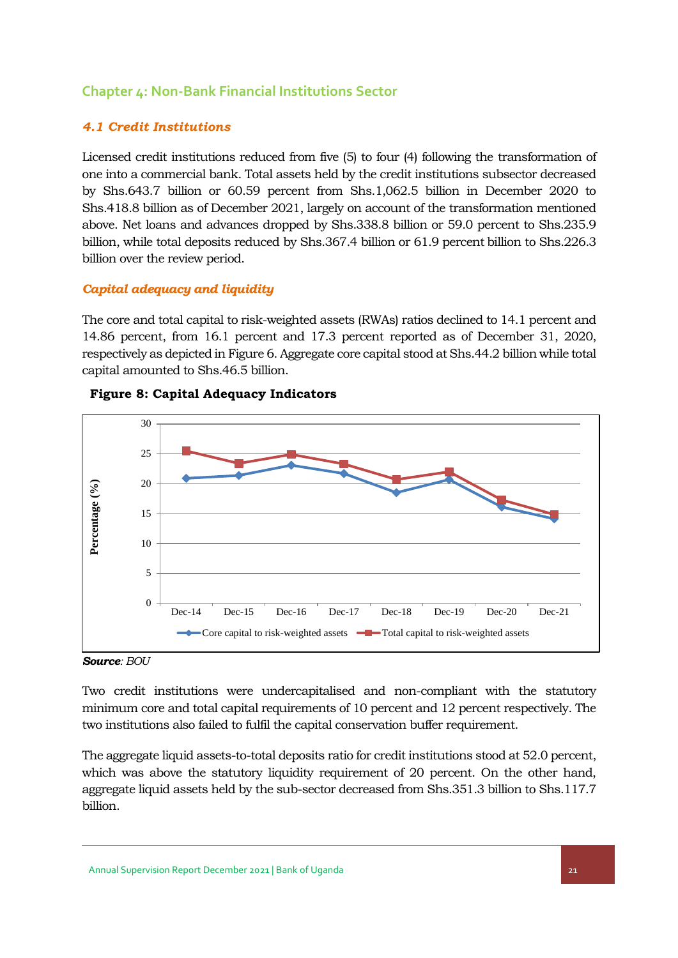## <span id="page-26-0"></span>**Chapter 4: Non-Bank Financial Institutions Sector**

## *4.1 Credit Institutions*

Licensed credit institutions reduced from five (5) to four (4) following the transformation of one into a commercial bank. Total assets held by the credit institutions subsector decreased by Shs.643.7 billion or 60.59 percent from Shs.1,062.5 billion in December 2020 to Shs.418.8 billion as of December 2021, largely on account of the transformation mentioned above. Net loans and advances dropped by Shs.338.8 billion or 59.0 percent to Shs.235.9 billion, while total deposits reduced by Shs.367.4 billion or 61.9 percent billion to Shs.226.3 billion over the review period.

## *Capital adequacy and liquidity*

The core and total capital to risk-weighted assets (RWAs) ratios declined to 14.1 percent and 14.86 percent, from 16.1 percent and 17.3 percent reported as of December 31, 2020, respectively as depicted in Figure 6. Aggregate core capital stood at Shs.44.2 billion while total capital amounted to Shs.46.5 billion.



#### **Figure 8: Capital Adequacy Indicators**

*Source: BOU*

Two credit institutions were undercapitalised and non-compliant with the statutory minimum core and total capital requirements of 10 percent and 12 percent respectively. The two institutions also failed to fulfil the capital conservation buffer requirement.

The aggregate liquid assets-to-total deposits ratio for credit institutions stood at 52.0 percent, which was above the statutory liquidity requirement of 20 percent. On the other hand, aggregate liquid assets held by the sub-sector decreased from Shs.351.3 billion to Shs.117.7 billion.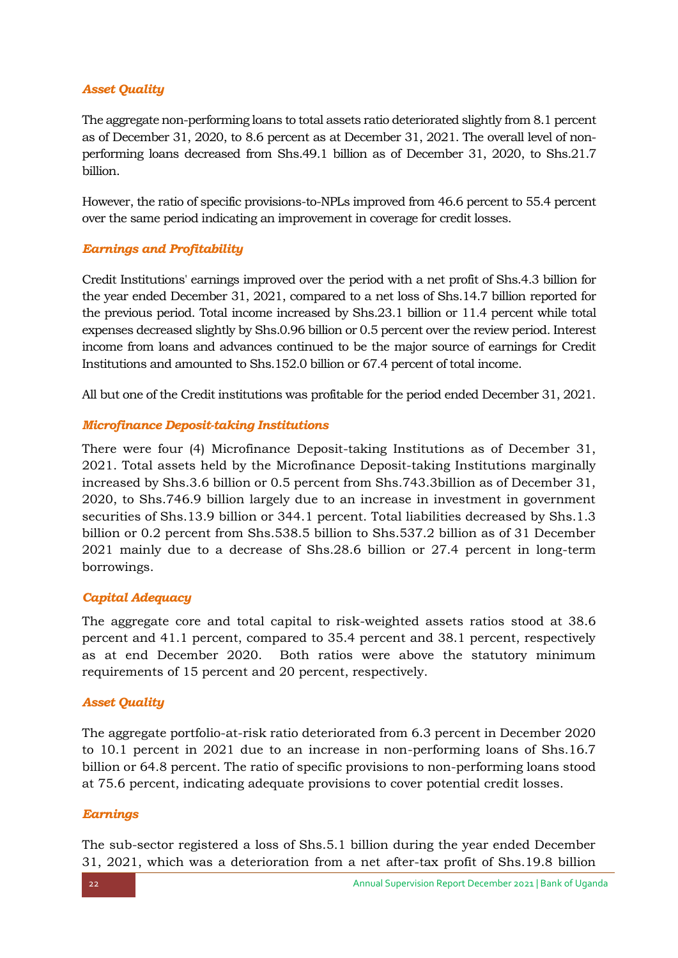## *Asset Quality*

The aggregate non-performing loans to total assets ratio deteriorated slightly from 8.1 percent as of December 31, 2020, to 8.6 percent as at December 31, 2021. The overall level of nonperforming loans decreased from Shs.49.1 billion as of December 31, 2020, to Shs.21.7 billion.

However, the ratio of specific provisions-to-NPLs improved from 46.6 percent to 55.4 percent over the same period indicating an improvement in coverage for credit losses.

## *Earnings and Profitability*

Credit Institutions' earnings improved over the period with a net profit of Shs.4.3 billion for the year ended December 31, 2021, compared to a net loss of Shs.14.7 billion reported for the previous period. Total income increased by Shs.23.1 billion or 11.4 percent while total expenses decreased slightly by Shs.0.96 billion or 0.5 percent over the review period. Interest income from loans and advances continued to be the major source of earnings for Credit Institutions and amounted to Shs.152.0 billion or 67.4 percent of total income.

All but one of the Credit institutions was profitable for the period ended December 31, 2021.

## *Microfinance Deposit-taking Institutions*

There were four (4) Microfinance Deposit-taking Institutions as of December 31, 2021. Total assets held by the Microfinance Deposit-taking Institutions marginally increased by Shs.3.6 billion or 0.5 percent from Shs.743.3billion as of December 31, 2020, to Shs.746.9 billion largely due to an increase in investment in government securities of Shs.13.9 billion or 344.1 percent. Total liabilities decreased by Shs.1.3 billion or 0.2 percent from Shs.538.5 billion to Shs.537.2 billion as of 31 December 2021 mainly due to a decrease of Shs.28.6 billion or 27.4 percent in long-term borrowings.

## *Capital Adequacy*

The aggregate core and total capital to risk-weighted assets ratios stood at 38.6 percent and 41.1 percent, compared to 35.4 percent and 38.1 percent, respectively as at end December 2020. Both ratios were above the statutory minimum requirements of 15 percent and 20 percent, respectively.

### *Asset Quality*

The aggregate portfolio-at-risk ratio deteriorated from 6.3 percent in December 2020 to 10.1 percent in 2021 due to an increase in non-performing loans of Shs.16.7 billion or 64.8 percent. The ratio of specific provisions to non-performing loans stood at 75.6 percent, indicating adequate provisions to cover potential credit losses.

## *Earnings*

The sub-sector registered a loss of Shs.5.1 billion during the year ended December 31, 2021, which was a deterioration from a net after-tax profit of Shs.19.8 billion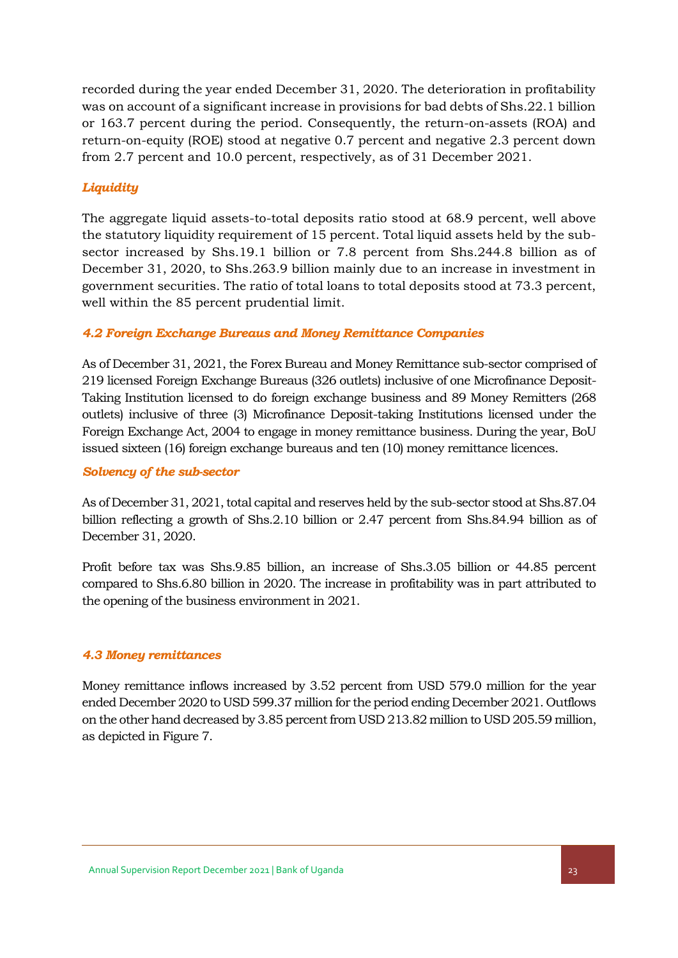recorded during the year ended December 31, 2020. The deterioration in profitability was on account of a significant increase in provisions for bad debts of Shs.22.1 billion or 163.7 percent during the period. Consequently, the return-on-assets (ROA) and return-on-equity (ROE) stood at negative 0.7 percent and negative 2.3 percent down from 2.7 percent and 10.0 percent, respectively, as of 31 December 2021.

## *Liquidity*

The aggregate liquid assets-to-total deposits ratio stood at 68.9 percent, well above the statutory liquidity requirement of 15 percent. Total liquid assets held by the subsector increased by Shs.19.1 billion or 7.8 percent from Shs.244.8 billion as of December 31, 2020, to Shs.263.9 billion mainly due to an increase in investment in government securities. The ratio of total loans to total deposits stood at 73.3 percent, well within the 85 percent prudential limit.

## *4.2 Foreign Exchange Bureaus and Money Remittance Companies*

As of December 31, 2021, the Forex Bureau and Money Remittance sub-sector comprised of 219 licensed Foreign Exchange Bureaus (326 outlets) inclusive of one Microfinance Deposit-Taking Institution licensed to do foreign exchange business and 89 Money Remitters (268 outlets) inclusive of three (3) Microfinance Deposit-taking Institutions licensed under the Foreign Exchange Act, 2004 to engage in money remittance business. During the year, BoU issued sixteen (16) foreign exchange bureaus and ten (10) money remittance licences.

### *Solvency of the sub-sector*

As of December 31, 2021, total capital and reserves held by the sub-sector stood at Shs.87.04 billion reflecting a growth of Shs.2.10 billion or 2.47 percent from Shs.84.94 billion as of December 31, 2020.

Profit before tax was Shs.9.85 billion, an increase of Shs.3.05 billion or 44.85 percent compared to Shs.6.80 billion in 2020. The increase in profitability was in part attributed to the opening of the business environment in 2021.

### *4.3 Money remittances*

Money remittance inflows increased by 3.52 percent from USD 579.0 million for the year ended December 2020 to USD 599.37 million for the period ending December 2021. Outflows on the other hand decreased by 3.85 percent from USD 213.82 million to USD 205.59 million, as depicted in Figure 7.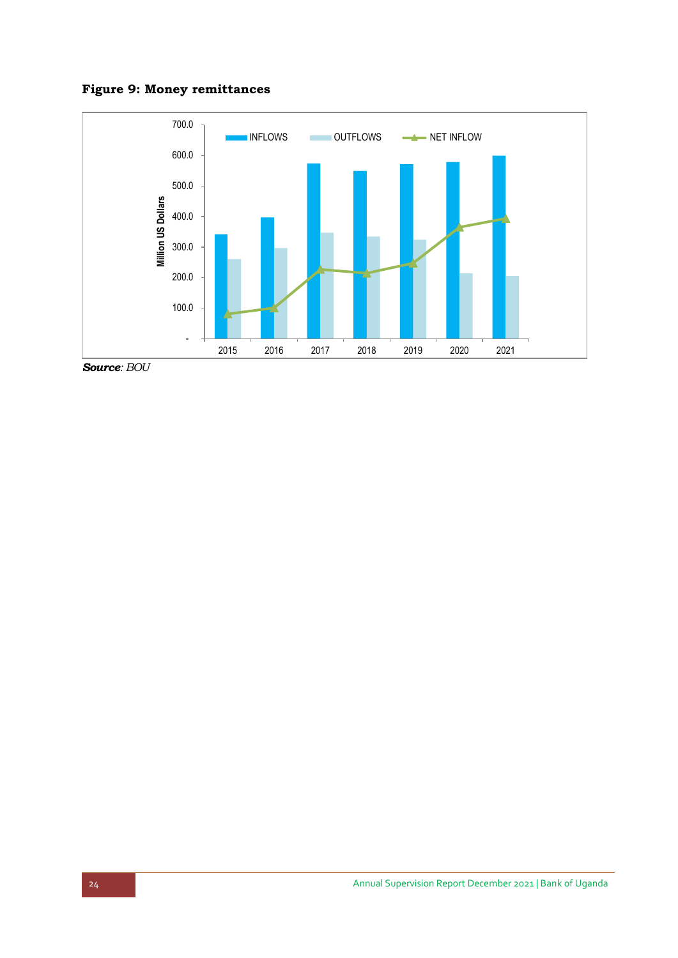<span id="page-29-0"></span>**Figure 9: Money remittances**



*Source: BOU*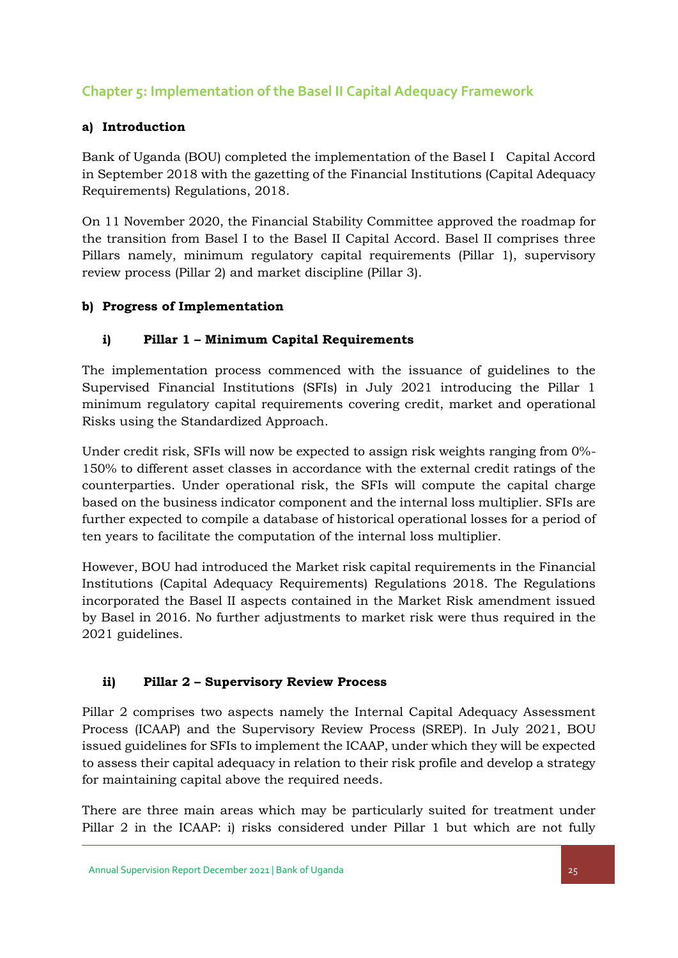# <span id="page-30-0"></span>**Chapter 5: Implementation of the Basel II Capital Adequacy Framework**

## **a) Introduction**

Bank of Uganda (BOU) completed the implementation of the Basel I Capital Accord in September 2018 with the gazetting of the Financial Institutions (Capital Adequacy Requirements) Regulations, 2018.

On 11 November 2020, the Financial Stability Committee approved the roadmap for the transition from Basel I to the Basel II Capital Accord. Basel II comprises three Pillars namely, minimum regulatory capital requirements (Pillar 1), supervisory review process (Pillar 2) and market discipline (Pillar 3).

## **b) Progress of Implementation**

## **i) Pillar 1 – Minimum Capital Requirements**

The implementation process commenced with the issuance of guidelines to the Supervised Financial Institutions (SFIs) in July 2021 introducing the Pillar 1 minimum regulatory capital requirements covering credit, market and operational Risks using the Standardized Approach.

Under credit risk, SFIs will now be expected to assign risk weights ranging from 0%- 150% to different asset classes in accordance with the external credit ratings of the counterparties. Under operational risk, the SFIs will compute the capital charge based on the business indicator component and the internal loss multiplier. SFIs are further expected to compile a database of historical operational losses for a period of ten years to facilitate the computation of the internal loss multiplier.

However, BOU had introduced the Market risk capital requirements in the Financial Institutions (Capital Adequacy Requirements) Regulations 2018. The Regulations incorporated the Basel II aspects contained in the Market Risk amendment issued by Basel in 2016. No further adjustments to market risk were thus required in the 2021 guidelines.

## **ii) Pillar 2 – Supervisory Review Process**

Pillar 2 comprises two aspects namely the Internal Capital Adequacy Assessment Process (ICAAP) and the Supervisory Review Process (SREP). In July 2021, BOU issued guidelines for SFIs to implement the ICAAP, under which they will be expected to assess their capital adequacy in relation to their risk profile and develop a strategy for maintaining capital above the required needs.

There are three main areas which may be particularly suited for treatment under Pillar 2 in the ICAAP: i) risks considered under Pillar 1 but which are not fully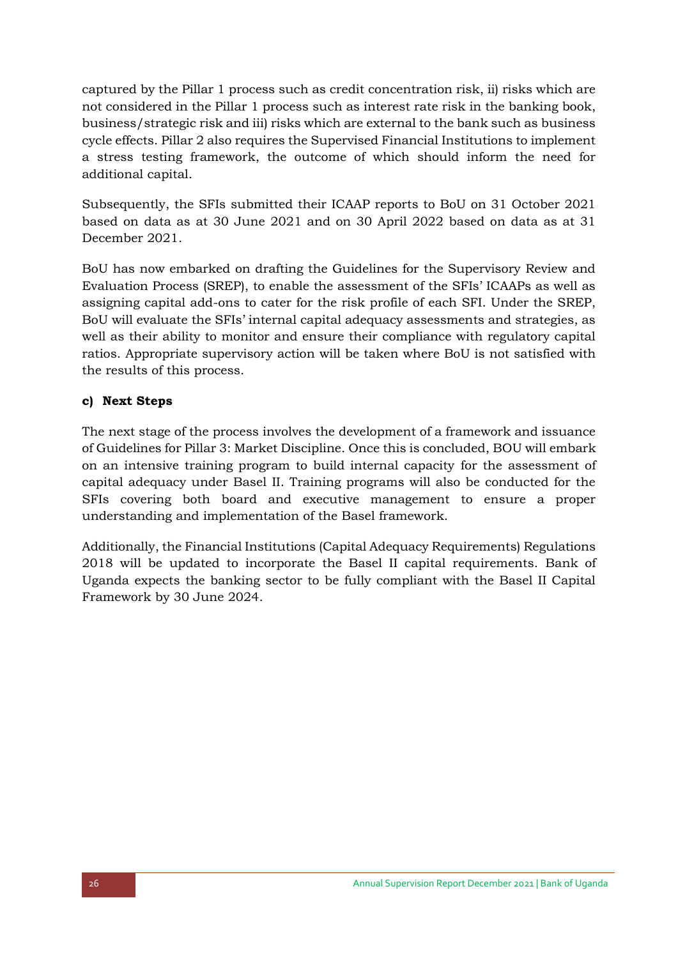captured by the Pillar 1 process such as credit concentration risk, ii) risks which are not considered in the Pillar 1 process such as interest rate risk in the banking book, business/strategic risk and iii) risks which are external to the bank such as business cycle effects. Pillar 2 also requires the Supervised Financial Institutions to implement a stress testing framework, the outcome of which should inform the need for additional capital.

Subsequently, the SFIs submitted their ICAAP reports to BoU on 31 October 2021 based on data as at 30 June 2021 and on 30 April 2022 based on data as at 31 December 2021.

BoU has now embarked on drafting the Guidelines for the Supervisory Review and Evaluation Process (SREP), to enable the assessment of the SFIs' ICAAPs as well as assigning capital add-ons to cater for the risk profile of each SFI. Under the SREP, BoU will evaluate the SFIs' internal capital adequacy assessments and strategies, as well as their ability to monitor and ensure their compliance with regulatory capital ratios. Appropriate supervisory action will be taken where BoU is not satisfied with the results of this process.

## **c) Next Steps**

The next stage of the process involves the development of a framework and issuance of Guidelines for Pillar 3: Market Discipline. Once this is concluded, BOU will embark on an intensive training program to build internal capacity for the assessment of capital adequacy under Basel II. Training programs will also be conducted for the SFIs covering both board and executive management to ensure a proper understanding and implementation of the Basel framework.

Additionally, the Financial Institutions (Capital Adequacy Requirements) Regulations 2018 will be updated to incorporate the Basel II capital requirements. Bank of Uganda expects the banking sector to be fully compliant with the Basel II Capital Framework by 30 June 2024.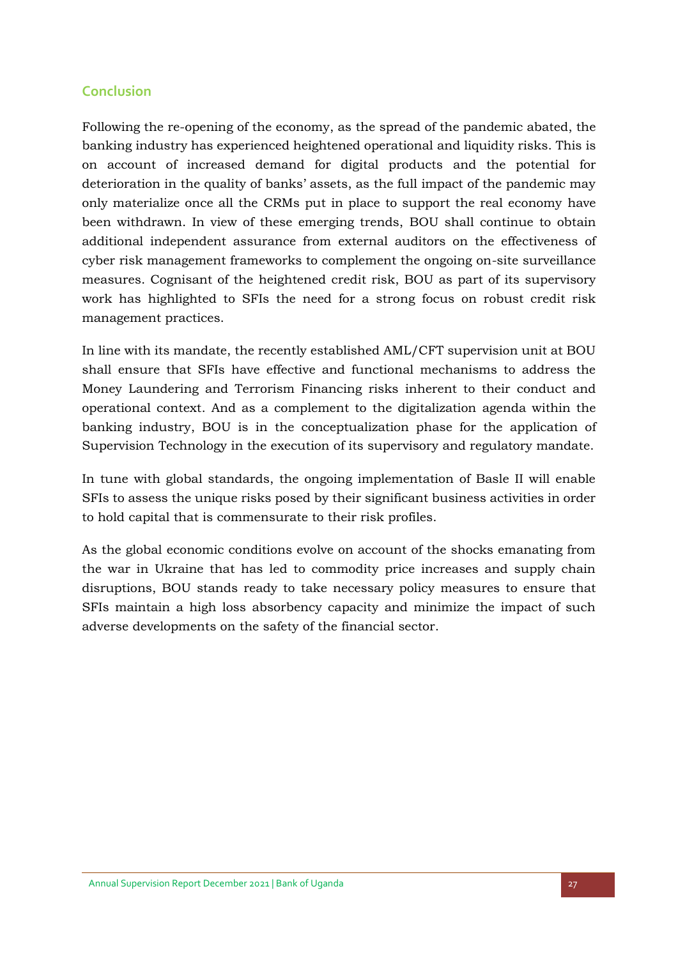## <span id="page-32-0"></span>**Conclusion**

Following the re-opening of the economy, as the spread of the pandemic abated, the banking industry has experienced heightened operational and liquidity risks. This is on account of increased demand for digital products and the potential for deterioration in the quality of banks' assets, as the full impact of the pandemic may only materialize once all the CRMs put in place to support the real economy have been withdrawn. In view of these emerging trends, BOU shall continue to obtain additional independent assurance from external auditors on the effectiveness of cyber risk management frameworks to complement the ongoing on-site surveillance measures. Cognisant of the heightened credit risk, BOU as part of its supervisory work has highlighted to SFIs the need for a strong focus on robust credit risk management practices.

In line with its mandate, the recently established AML/CFT supervision unit at BOU shall ensure that SFIs have effective and functional mechanisms to address the Money Laundering and Terrorism Financing risks inherent to their conduct and operational context. And as a complement to the digitalization agenda within the banking industry, BOU is in the conceptualization phase for the application of Supervision Technology in the execution of its supervisory and regulatory mandate.

In tune with global standards, the ongoing implementation of Basle II will enable SFIs to assess the unique risks posed by their significant business activities in order to hold capital that is commensurate to their risk profiles.

As the global economic conditions evolve on account of the shocks emanating from the war in Ukraine that has led to commodity price increases and supply chain disruptions, BOU stands ready to take necessary policy measures to ensure that SFIs maintain a high loss absorbency capacity and minimize the impact of such adverse developments on the safety of the financial sector.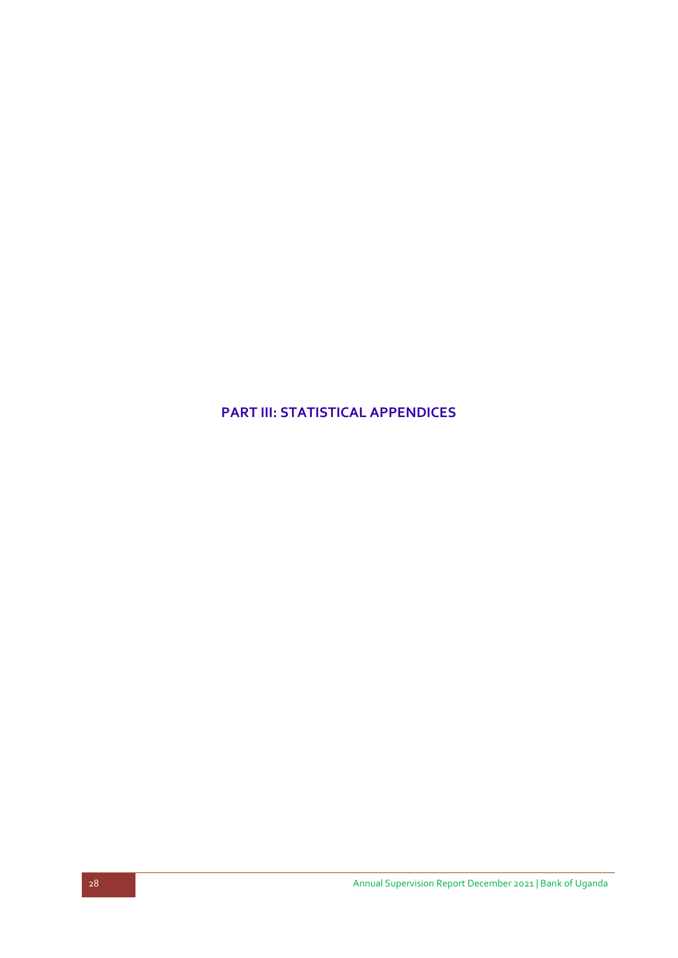<span id="page-33-0"></span>**PART III: STATISTICAL APPENDICES**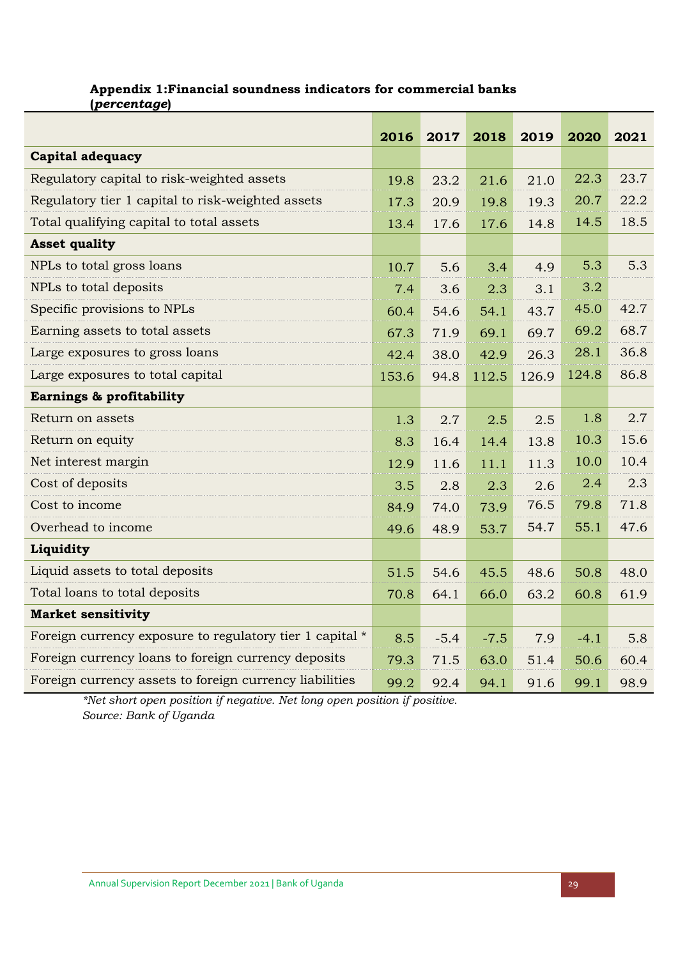## **Appendix 1:Financial soundness indicators for commercial banks (***percentage***)**

|                                                          | 2016  | 2017   | 2018   | 2019  | 2020   | 2021 |
|----------------------------------------------------------|-------|--------|--------|-------|--------|------|
| <b>Capital adequacy</b>                                  |       |        |        |       |        |      |
| Regulatory capital to risk-weighted assets               | 19.8  | 23.2   | 21.6   | 21.0  | 22.3   | 23.7 |
| Regulatory tier 1 capital to risk-weighted assets        | 17.3  | 20.9   | 19.8   | 19.3  | 20.7   | 22.2 |
| Total qualifying capital to total assets                 | 13.4  | 17.6   | 17.6   | 14.8  | 14.5   | 18.5 |
| <b>Asset quality</b>                                     |       |        |        |       |        |      |
| NPLs to total gross loans                                | 10.7  | 5.6    | 3.4    | 4.9   | 5.3    | 5.3  |
| NPLs to total deposits                                   | 7.4   | 3.6    | 2.3    | 3.1   | 3.2    |      |
| Specific provisions to NPLs                              | 60.4  | 54.6   | 54.1   | 43.7  | 45.0   | 42.7 |
| Earning assets to total assets                           | 67.3  | 71.9   | 69.1   | 69.7  | 69.2   | 68.7 |
| Large exposures to gross loans                           | 42.4  | 38.0   | 42.9   | 26.3  | 28.1   | 36.8 |
| Large exposures to total capital                         | 153.6 | 94.8   | 112.5  | 126.9 | 124.8  | 86.8 |
| Earnings & profitability                                 |       |        |        |       |        |      |
| Return on assets                                         | 1.3   | 2.7    | 2.5    | 2.5   | 1.8    | 2.7  |
| Return on equity                                         | 8.3   | 16.4   | 14.4   | 13.8  | 10.3   | 15.6 |
| Net interest margin                                      | 12.9  | 11.6   | 11.1   | 11.3  | 10.0   | 10.4 |
| Cost of deposits                                         | 3.5   | 2.8    | 2.3    | 2.6   | 2.4    | 2.3  |
| Cost to income                                           | 84.9  | 74.0   | 73.9   | 76.5  | 79.8   | 71.8 |
| Overhead to income                                       | 49.6  | 48.9   | 53.7   | 54.7  | 55.1   | 47.6 |
| Liquidity                                                |       |        |        |       |        |      |
| Liquid assets to total deposits                          | 51.5  | 54.6   | 45.5   | 48.6  | 50.8   | 48.0 |
| Total loans to total deposits                            | 70.8  | 64.1   | 66.0   | 63.2  | 60.8   | 61.9 |
| <b>Market sensitivity</b>                                |       |        |        |       |        |      |
| Foreign currency exposure to regulatory tier 1 capital * | 8.5   | $-5.4$ | $-7.5$ | 7.9   | $-4.1$ | 5.8  |
| Foreign currency loans to foreign currency deposits      | 79.3  | 71.5   | 63.0   | 51.4  | 50.6   | 60.4 |
| Foreign currency assets to foreign currency liabilities  | 99.2  | 92.4   | 94.1   | 91.6  | 99.1   | 98.9 |

*\*Net short open position if negative. Net long open position if positive. Source: Bank of Uganda*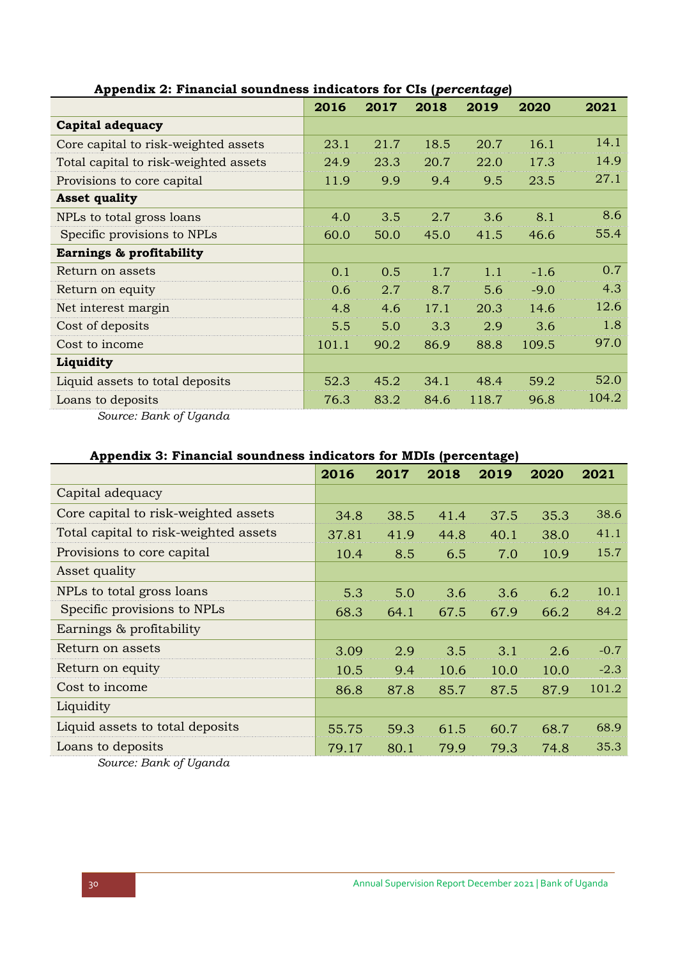| Appendix 2. Financial sounditess indicators for the (percentage) |       |      |      |       |        |       |  |
|------------------------------------------------------------------|-------|------|------|-------|--------|-------|--|
|                                                                  | 2016  | 2017 | 2018 | 2019  | 2020   | 2021  |  |
| Capital adequacy                                                 |       |      |      |       |        |       |  |
| Core capital to risk-weighted assets                             | 23.1  | 21.7 | 18.5 | 20.7  | 16.1   | 14.1  |  |
| Total capital to risk-weighted assets                            | 24.9  | 23.3 | 20.7 | 22.0  | 17.3   | 14.9  |  |
| Provisions to core capital                                       | 11.9  | 9.9  | 9.4  | 9.5   | 23.5   | 27.1  |  |
| <b>Asset quality</b>                                             |       |      |      |       |        |       |  |
| NPLs to total gross loans                                        | 4.0   | 3.5  | 2.7  | 3.6   | 8.1    | 8.6   |  |
| Specific provisions to NPLs                                      | 60.0  | 50.0 | 45.0 | 41.5  | 46.6   | 55.4  |  |
| Earnings & profitability                                         |       |      |      |       |        |       |  |
| Return on assets                                                 | 0.1   | 0.5  | 1.7  | 1.1   | $-1.6$ | 0.7   |  |
| Return on equity                                                 | 0.6   | 2.7  | 8.7  | 5.6   | $-9.0$ | 4.3   |  |
| Net interest margin                                              | 4.8   | 4.6  | 17.1 | 20.3  | 14.6   | 12.6  |  |
| Cost of deposits                                                 | 5.5   | 5.0  | 3.3  | 2.9   | 3.6    | 1.8   |  |
| Cost to income                                                   | 101.1 | 90.2 | 86.9 | 88.8  | 109.5  | 97.0  |  |
| Liquidity                                                        |       |      |      |       |        |       |  |
| Liquid assets to total deposits                                  | 52.3  | 45.2 | 34.1 | 48.4  | 59.2   | 52.0  |  |
| Loans to deposits                                                | 76.3  | 83.2 | 84.6 | 118.7 | 96.8   | 104.2 |  |
| Source: Bank of Uganda                                           |       |      |      |       |        |       |  |

## **Appendix 2: Financial soundness indicators for CIs (***percentage***)**

## **Appendix 3: Financial soundness indicators for MDIs (percentage)**

|                                       | 2016  | 2017 | 2018 | 2019 | 2020 | 2021   |
|---------------------------------------|-------|------|------|------|------|--------|
| Capital adequacy                      |       |      |      |      |      |        |
| Core capital to risk-weighted assets  | 34.8  | 38.5 | 41.4 | 37.5 | 35.3 | 38.6   |
| Total capital to risk-weighted assets | 37.81 | 41.9 | 44.8 | 40.1 | 38.0 | 41.1   |
| Provisions to core capital            | 10.4  | 8.5  | 6.5  | 7.0  | 10.9 | 15.7   |
| Asset quality                         |       |      |      |      |      |        |
| NPLs to total gross loans             | 5.3   | 5.0  | 3.6  | 3.6  | 6.2  | 10.1   |
| Specific provisions to NPLs           | 68.3  | 64.1 | 67.5 | 67.9 | 66.2 | 84.2   |
| Earnings & profitability              |       |      |      |      |      |        |
| Return on assets                      | 3.09  | 2.9  | 3.5  | 3.1  | 2.6  | $-0.7$ |
| Return on equity                      | 10.5  | 9.4  | 10.6 | 10.0 | 10.0 | $-2.3$ |
| Cost to income                        | 86.8  | 87.8 | 85.7 | 87.5 | 87.9 | 101.2  |
| Liquidity                             |       |      |      |      |      |        |
| Liquid assets to total deposits       | 55.75 | 59.3 | 61.5 | 60.7 | 68.7 | 68.9   |
| Loans to deposits                     | 79.17 | 80.1 | 79.9 | 79.3 | 74.8 | 35.3   |
|                                       |       |      |      |      |      |        |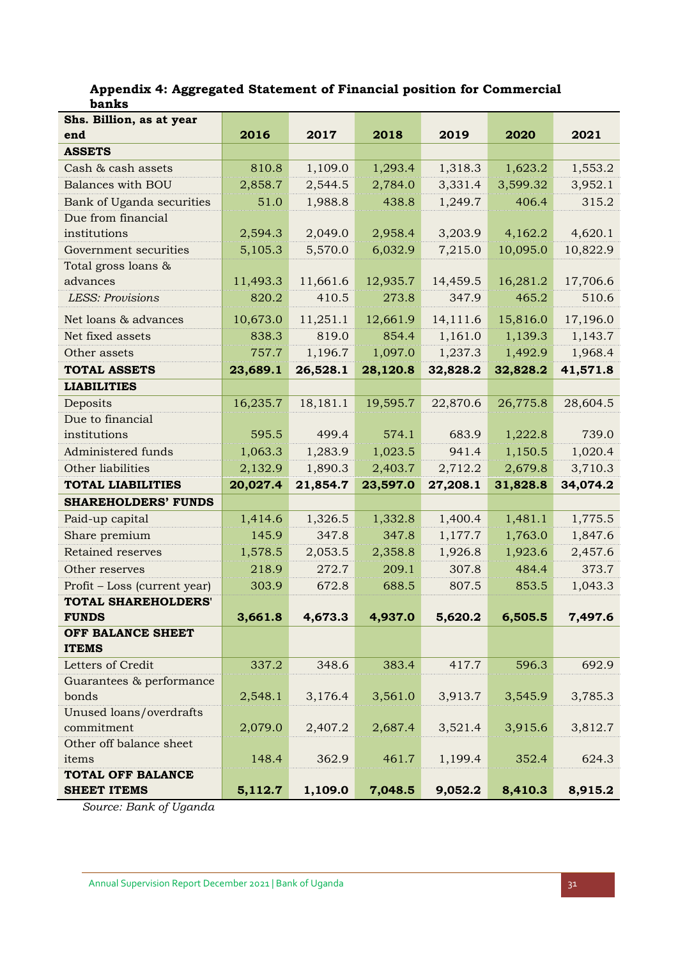| Appendix 4: Aggregated Statement of Financial position for Commercial |  |  |
|-----------------------------------------------------------------------|--|--|
| banks                                                                 |  |  |

| Shs. Billion, as at year          | 2016     | 2017     | 2018     | 2019     | 2020     | 2021     |
|-----------------------------------|----------|----------|----------|----------|----------|----------|
| end<br><b>ASSETS</b>              |          |          |          |          |          |          |
| Cash & cash assets                | 810.8    | 1,109.0  | 1,293.4  | 1,318.3  | 1,623.2  | 1,553.2  |
| Balances with BOU                 | 2,858.7  | 2,544.5  | 2,784.0  | 3,331.4  | 3,599.32 | 3,952.1  |
| Bank of Uganda securities         | 51.0     | 1,988.8  | 438.8    | 1,249.7  | 406.4    | 315.2    |
| Due from financial                |          |          |          |          |          |          |
| institutions                      | 2,594.3  | 2,049.0  | 2,958.4  | 3,203.9  | 4,162.2  | 4,620.1  |
| Government securities             | 5,105.3  | 5,570.0  | 6,032.9  | 7,215.0  | 10,095.0 | 10,822.9 |
| Total gross loans &               |          |          |          |          |          |          |
| advances                          | 11,493.3 | 11,661.6 | 12,935.7 | 14,459.5 | 16,281.2 | 17,706.6 |
| <b>LESS: Provisions</b>           | 820.2    | 410.5    | 273.8    | 347.9    | 465.2    | 510.6    |
| Net loans & advances              | 10,673.0 | 11,251.1 | 12,661.9 | 14,111.6 | 15,816.0 | 17,196.0 |
| Net fixed assets                  | 838.3    | 819.0    | 854.4    | 1,161.0  | 1,139.3  | 1,143.7  |
| Other assets                      | 757.7    | 1,196.7  | 1,097.0  | 1,237.3  | 1,492.9  | 1,968.4  |
| <b>TOTAL ASSETS</b>               | 23,689.1 | 26,528.1 | 28,120.8 | 32,828.2 | 32,828.2 | 41,571.8 |
| <b>LIABILITIES</b>                |          |          |          |          |          |          |
| Deposits                          | 16,235.7 | 18,181.1 | 19,595.7 | 22,870.6 | 26,775.8 | 28,604.5 |
| Due to financial                  |          |          |          |          |          |          |
| institutions                      | 595.5    | 499.4    | 574.1    | 683.9    | 1,222.8  | 739.0    |
| Administered funds                | 1,063.3  | 1,283.9  | 1,023.5  | 941.4    | 1,150.5  | 1,020.4  |
| Other liabilities                 | 2,132.9  | 1,890.3  | 2,403.7  | 2,712.2  | 2,679.8  | 3,710.3  |
| <b>TOTAL LIABILITIES</b>          | 20,027.4 | 21,854.7 | 23,597.0 | 27,208.1 | 31,828.8 | 34,074.2 |
| <b>SHAREHOLDERS' FUNDS</b>        |          |          |          |          |          |          |
| Paid-up capital                   | 1,414.6  | 1,326.5  | 1,332.8  | 1,400.4  | 1,481.1  | 1,775.5  |
| Share premium                     | 145.9    | 347.8    | 347.8    | 1,177.7  | 1,763.0  | 1,847.6  |
| Retained reserves                 | 1,578.5  | 2,053.5  | 2,358.8  | 1,926.8  | 1,923.6  | 2,457.6  |
| Other reserves                    | 218.9    | 272.7    | 209.1    | 307.8    | 484.4    | 373.7    |
| Profit - Loss (current year)      | 303.9    | 672.8    | 688.5    | 807.5    | 853.5    | 1,043.3  |
| <b>TOTAL SHAREHOLDERS'</b>        |          |          |          |          |          |          |
| <b>FUNDS</b>                      | 3,661.8  | 4,673.3  | 4,937.0  | 5,620.2  | 6,505.5  | 7,497.6  |
| OFF BALANCE SHEET                 |          |          |          |          |          |          |
| <b>ITEMS</b><br>Letters of Credit |          |          |          |          |          |          |
| Guarantees & performance          | 337.2    | 348.6    | 383.4    | 417.7    | 596.3    | 692.9    |
| bonds                             | 2,548.1  | 3,176.4  | 3,561.0  | 3,913.7  | 3,545.9  | 3,785.3  |
| Unused loans/overdrafts           |          |          |          |          |          |          |
| commitment                        | 2,079.0  | 2,407.2  | 2,687.4  | 3,521.4  | 3,915.6  | 3,812.7  |
| Other off balance sheet           |          |          |          |          |          |          |
| items                             | 148.4    | 362.9    | 461.7    | 1,199.4  | 352.4    | 624.3    |
| TOTAL OFF BALANCE                 |          |          |          |          |          |          |
| <b>SHEET ITEMS</b>                | 5,112.7  | 1,109.0  | 7,048.5  | 9,052.2  | 8,410.3  | 8,915.2  |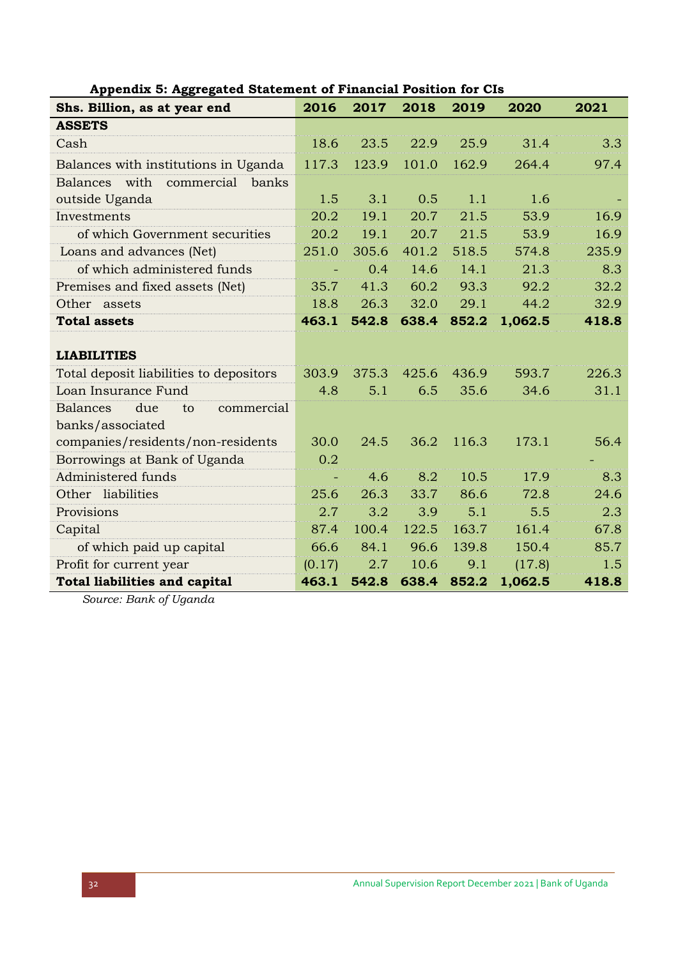| Shs. Billion, as at year end                          | 2016                     | 2017  | 2018  | 2019  | 2020    | 2021  |
|-------------------------------------------------------|--------------------------|-------|-------|-------|---------|-------|
| <b>ASSETS</b>                                         |                          |       |       |       |         |       |
| Cash                                                  | 18.6                     | 23.5  | 22.9  | 25.9  | 31.4    | 3.3   |
| Balances with institutions in Uganda                  | 117.3                    | 123.9 | 101.0 | 162.9 | 264.4   | 97.4  |
| with<br><b>Balances</b><br>commercial<br>banks        |                          |       |       |       |         |       |
| outside Uganda                                        | 1.5                      | 3.1   | 0.5   | 1.1   | 1.6     |       |
| Investments                                           | 20.2                     | 19.1  | 20.7  | 21.5  | 53.9    | 16.9  |
| of which Government securities                        | 20.2                     | 19.1  | 20.7  | 21.5  | 53.9    | 16.9  |
| Loans and advances (Net)                              | 251.0                    | 305.6 | 401.2 | 518.5 | 574.8   | 235.9 |
| of which administered funds                           |                          | 0.4   | 14.6  | 14.1  | 21.3    | 8.3   |
| Premises and fixed assets (Net)                       | 35.7                     | 41.3  | 60.2  | 93.3  | 92.2    | 32.2  |
| Other assets                                          | 18.8                     | 26.3  | 32.0  | 29.1  | 44.2    | 32.9  |
| <b>Total assets</b>                                   | 463.1                    | 542.8 | 638.4 | 852.2 | 1,062.5 | 418.8 |
| <b>LIABILITIES</b>                                    |                          |       |       |       |         |       |
| Total deposit liabilities to depositors               | 303.9                    | 375.3 | 425.6 | 436.9 | 593.7   | 226.3 |
| Loan Insurance Fund                                   | 4.8                      | 5.1   | 6.5   | 35.6  | 34.6    | 31.1  |
| <b>Balances</b><br>due<br>to<br>commercial            |                          |       |       |       |         |       |
| banks/associated<br>companies/residents/non-residents | 30.0                     | 24.5  | 36.2  | 116.3 | 173.1   | 56.4  |
| Borrowings at Bank of Uganda                          | 0.2                      |       |       |       |         |       |
| Administered funds                                    | $\overline{\phantom{0}}$ | 4.6   | 8.2   | 10.5  | 17.9    | 8.3   |
| Other liabilities                                     | 25.6                     | 26.3  | 33.7  | 86.6  | 72.8    | 24.6  |
| Provisions                                            | 2.7                      | 3.2   | 3.9   | 5.1   | 5.5     | 2.3   |
| Capital                                               | 87.4                     | 100.4 | 122.5 | 163.7 | 161.4   | 67.8  |
| of which paid up capital                              | 66.6                     | 84.1  | 96.6  | 139.8 | 150.4   | 85.7  |
| Profit for current year                               | (0.17)                   | 2.7   | 10.6  | 9.1   | (17.8)  | 1.5   |
| <b>Total liabilities and capital</b>                  | 463.1                    | 542.8 | 638.4 | 852.2 | 1,062.5 | 418.8 |

## **Appendix 5: Aggregated Statement of Financial Position for CIs**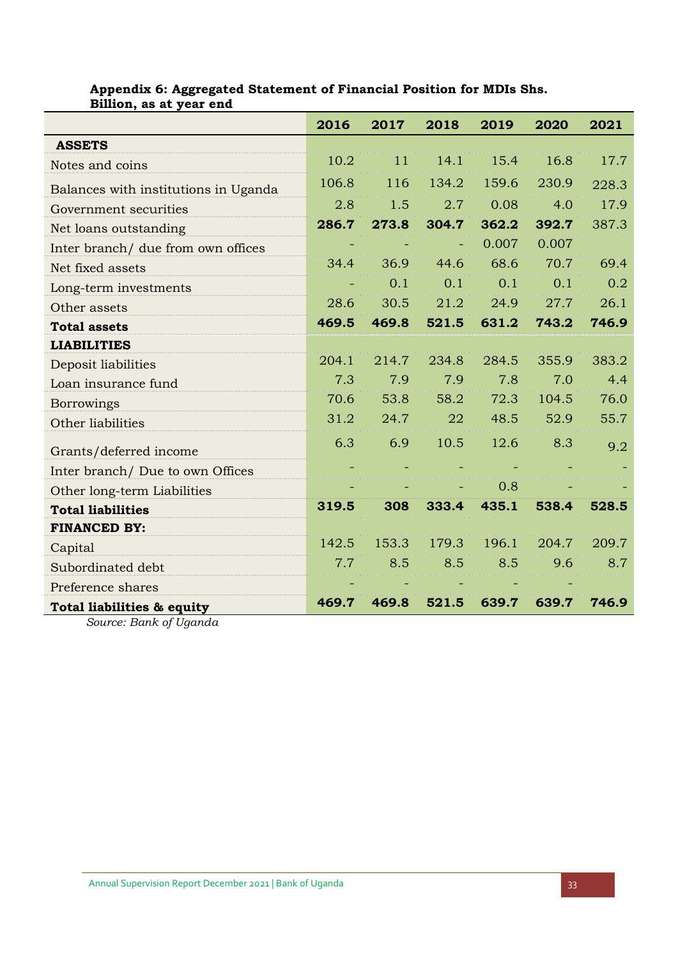|                                       | 2016                     | 2017   | 2018  | 2019  | 2020  | 2021  |
|---------------------------------------|--------------------------|--------|-------|-------|-------|-------|
| <b>ASSETS</b>                         |                          |        |       |       |       |       |
| Notes and coins                       | 10.2                     | 11     | 14.1  | 15.4  | 16.8  | 17.7  |
| Balances with institutions in Uganda  | 106.8                    | 116    | 134.2 | 159.6 | 230.9 | 228.3 |
| Government securities                 | 2.8                      | 1.5    | 2.7   | 0.08  | 4.0   | 17.9  |
| Net loans outstanding                 | 286.7                    | 273.8  | 304.7 | 362.2 | 392.7 | 387.3 |
| Inter branch/ due from own offices    | $\overline{\phantom{a}}$ | $\sim$ | Ξ     | 0.007 | 0.007 |       |
| Net fixed assets                      | 34.4                     | 36.9   | 44.6  | 68.6  | 70.7  | 69.4  |
| Long-term investments                 | $\overline{\phantom{0}}$ | 0.1    | 0.1   | 0.1   | 0.1   | 0.2   |
| Other assets                          | 28.6                     | 30.5   | 21.2  | 24.9  | 27.7  | 26.1  |
| <b>Total assets</b>                   | 469.5                    | 469.8  | 521.5 | 631.2 | 743.2 | 746.9 |
| <b>LIABILITIES</b>                    |                          |        |       |       |       |       |
| Deposit liabilities                   | 204.1                    | 214.7  | 234.8 | 284.5 | 355.9 | 383.2 |
| Loan insurance fund                   | 7.3                      | 7.9    | 7.9   | 7.8   | 7.0   | 4.4   |
| <b>Borrowings</b>                     | 70.6                     | 53.8   | 58.2  | 72.3  | 104.5 | 76.0  |
| Other liabilities                     | 31.2                     | 24.7   | 22    | 48.5  | 52.9  | 55.7  |
| Grants/deferred income                | 6.3                      | 6.9    | 10.5  | 12.6  | 8.3   | 9.2   |
| Inter branch/ Due to own Offices      | ÷                        |        | ÷     |       |       |       |
| Other long-term Liabilities           | $\overline{\phantom{0}}$ | -      |       | 0.8   |       |       |
| <b>Total liabilities</b>              | 319.5                    | 308    | 333.4 | 435.1 | 538.4 | 528.5 |
| <b>FINANCED BY:</b>                   |                          |        |       |       |       |       |
| Capital                               | 142.5                    | 153.3  | 179.3 | 196.1 | 204.7 | 209.7 |
| Subordinated debt                     | 7.7                      | 8.5    | 8.5   | 8.5   | 9.6   | 8.7   |
| Preference shares                     |                          |        |       |       |       |       |
| <b>Total liabilities &amp; equity</b> | 469.7                    | 469.8  | 521.5 | 639.7 | 639.7 | 746.9 |

## **Appendix 6: Aggregated Statement of Financial Position for MDIs Shs. Billion, as at year end**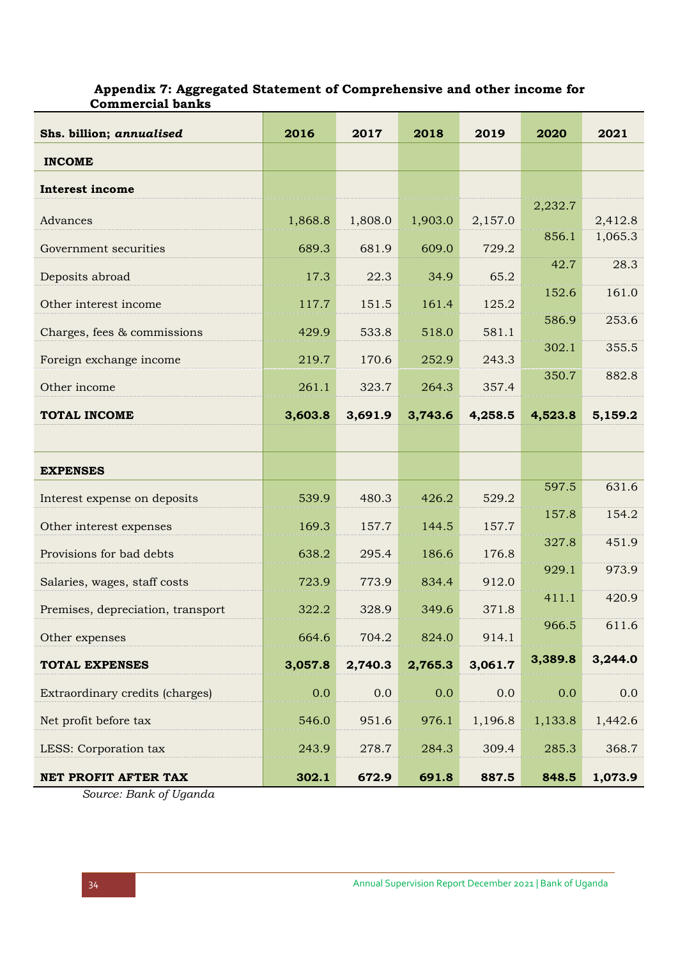| Shs. billion; annualised          | 2016    | 2017    | 2018    | 2019    | 2020    | 2021    |
|-----------------------------------|---------|---------|---------|---------|---------|---------|
| <b>INCOME</b>                     |         |         |         |         |         |         |
| <b>Interest income</b>            |         |         |         |         |         |         |
| Advances                          | 1,868.8 | 1,808.0 | 1,903.0 | 2,157.0 | 2,232.7 | 2,412.8 |
| Government securities             | 689.3   | 681.9   | 609.0   | 729.2   | 856.1   | 1,065.3 |
| Deposits abroad                   | 17.3    | 22.3    | 34.9    | 65.2    | 42.7    | 28.3    |
| Other interest income             | 117.7   | 151.5   | 161.4   | 125.2   | 152.6   | 161.0   |
| Charges, fees & commissions       | 429.9   | 533.8   | 518.0   | 581.1   | 586.9   | 253.6   |
| Foreign exchange income           | 219.7   | 170.6   | 252.9   | 243.3   | 302.1   | 355.5   |
| Other income                      | 261.1   | 323.7   | 264.3   | 357.4   | 350.7   | 882.8   |
| <b>TOTAL INCOME</b>               | 3,603.8 | 3,691.9 | 3,743.6 | 4,258.5 | 4,523.8 | 5,159.2 |
|                                   |         |         |         |         |         |         |
| <b>EXPENSES</b>                   |         |         |         |         |         |         |
| Interest expense on deposits      | 539.9   | 480.3   | 426.2   | 529.2   | 597.5   | 631.6   |
| Other interest expenses           | 169.3   | 157.7   | 144.5   | 157.7   | 157.8   | 154.2   |
| Provisions for bad debts          | 638.2   | 295.4   | 186.6   | 176.8   | 327.8   | 451.9   |
| Salaries, wages, staff costs      | 723.9   | 773.9   | 834.4   | 912.0   | 929.1   | 973.9   |
| Premises, depreciation, transport | 322.2   | 328.9   | 349.6   | 371.8   | 411.1   | 420.9   |
| Other expenses                    | 664.6   | 704.2   | 824.0   | 914.1   | 966.5   | 611.6   |
| TOTAL EXPENSES                    | 3,057.8 | 2,740.3 | 2,765.3 | 3,061.7 | 3,389.8 | 3,244.0 |
| Extraordinary credits (charges)   | 0.0     | 0.0     | 0.0     | 0.0     | 0.0     | 0.0     |
| Net profit before tax             | 546.0   | 951.6   | 976.1   | 1,196.8 | 1,133.8 | 1,442.6 |
| LESS: Corporation tax             | 243.9   | 278.7   | 284.3   | 309.4   | 285.3   | 368.7   |
| NET PROFIT AFTER TAX              | 302.1   | 672.9   | 691.8   | 887.5   | 848.5   | 1,073.9 |

### **Appendix 7: Aggregated Statement of Comprehensive and other income for Commercial banks**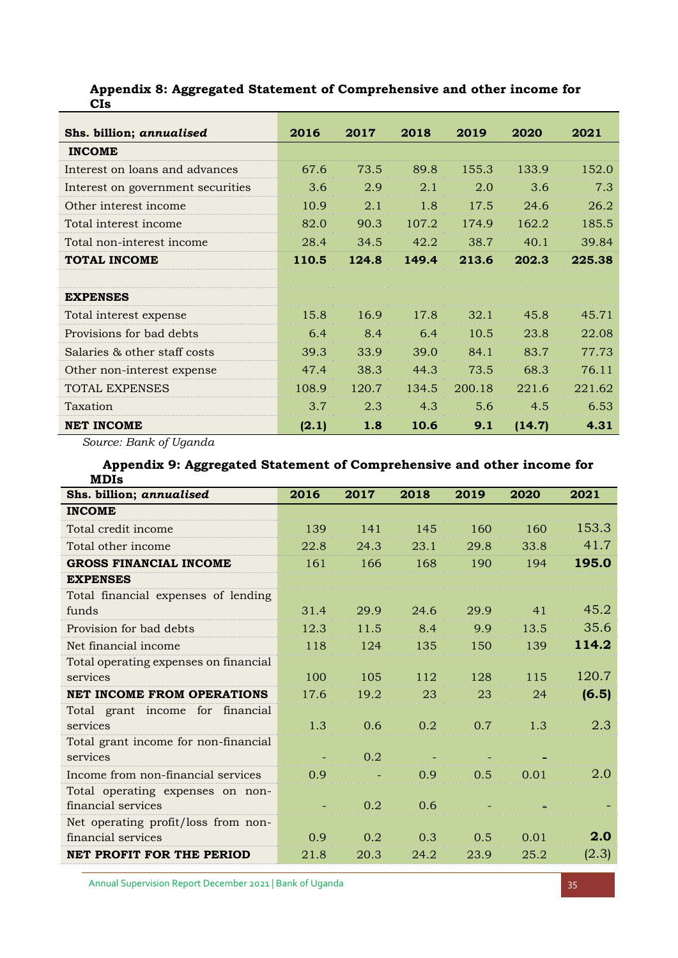| Shs. billion; annualised          | 2016  | 2017  | 2018  | 2019   | 2020   | 2021   |
|-----------------------------------|-------|-------|-------|--------|--------|--------|
| <b>INCOME</b>                     |       |       |       |        |        |        |
| Interest on loans and advances    | 67.6  | 73.5  | 89.8  | 155.3  | 133.9  | 152.0  |
| Interest on government securities | 3.6   | 2.9   | 2.1   | 2.0    | 3.6    | 7.3    |
| Other interest income             | 10.9  | 2.1   | 1.8   | 17.5   | 24.6   | 26.2   |
| Total interest income             | 82.0  | 90.3  | 107.2 | 174.9  | 162.2  | 185.5  |
| Total non-interest income         | 28.4  | 34.5  | 42.2  | 38.7   | 40.1   | 39.84  |
| <b>TOTAL INCOME</b>               | 110.5 | 124.8 | 149.4 | 213.6  | 202.3  | 225.38 |
|                                   |       |       |       |        |        |        |
| <b>EXPENSES</b>                   |       |       |       |        |        |        |
| Total interest expense            | 15.8  | 16.9  | 17.8  | 32.1   | 45.8   | 45.71  |
| Provisions for bad debts          | 6.4   | 8.4   | 6.4   | 10.5   | 23.8   | 22.08  |
| Salaries & other staff costs      | 39.3  | 33.9  | 39.0  | 84.1   | 83.7   | 77.73  |
| Other non-interest expense        | 47.4  | 38.3  | 44.3  | 73.5   | 68.3   | 76.11  |
| TOTAL EXPENSES                    | 108.9 | 120.7 | 134.5 | 200.18 | 221.6  | 221.62 |
| Taxation                          | 3.7   | 2.3   | 4.3   | 5.6    | 4.5    | 6.53   |
| <b>NET INCOME</b>                 | (2.1) | 1.8   | 10.6  | 9.1    | (14.7) | 4.31   |

### **Appendix 8: Aggregated Statement of Comprehensive and other income for CIs**

*Source: Bank of Uganda*

## **Appendix 9: Aggregated Statement of Comprehensive and other income for MDIs**

| Shs. billion; annualised              | 2016 | 2017 | 2018 | 2019 | 2020 | 2021  |
|---------------------------------------|------|------|------|------|------|-------|
| <b>INCOME</b>                         |      |      |      |      |      |       |
| Total credit income                   | 139  | 141  | 145  | 160  | 160  | 153.3 |
| Total other income                    | 22.8 | 24.3 | 23.1 | 29.8 | 33.8 | 41.7  |
| <b>GROSS FINANCIAL INCOME</b>         | 161  | 166  | 168  | 190  | 194  | 195.0 |
| <b>EXPENSES</b>                       |      |      |      |      |      |       |
| Total financial expenses of lending   |      |      |      |      |      |       |
| funds                                 | 31.4 | 29.9 | 24.6 | 29.9 | 41   | 45.2  |
| Provision for bad debts               | 12.3 | 11.5 | 8.4  | 9.9  | 13.5 | 35.6  |
| Net financial income                  | 118  | 124  | 135  | 150  | 139  | 114.2 |
| Total operating expenses on financial |      |      |      |      |      |       |
| services                              | 100  | 105  | 112  | 128  | 115  | 120.7 |
| <b>NET INCOME FROM OPERATIONS</b>     | 17.6 | 19.2 | 23   | 23   | 24   | (6.5) |
| Total grant income for financial      |      |      |      |      |      |       |
| services                              | 1.3  | 0.6  | 0.2  | 0.7  | 1.3  | 2.3   |
| Total grant income for non-financial  |      |      |      |      |      |       |
| services                              |      | 0.2  |      |      |      |       |
| Income from non-financial services    | 0.9  |      | 0.9  | 0.5  | 0.01 | 2.0   |
| Total operating expenses on non-      |      |      |      |      |      |       |
| financial services                    |      | 0.2  | 0.6  |      |      |       |
| Net operating profit/loss from non-   |      |      |      |      |      |       |
| financial services                    | 0.9  | 0.2  | 0.3  | 0.5  | 0.01 | 2.0   |
| <b>NET PROFIT FOR THE PERIOD</b>      | 21.8 | 20.3 | 24.2 | 23.9 | 25.2 | (2.3) |

Annual Supervision Report December 2021 | Bank of Uganda 35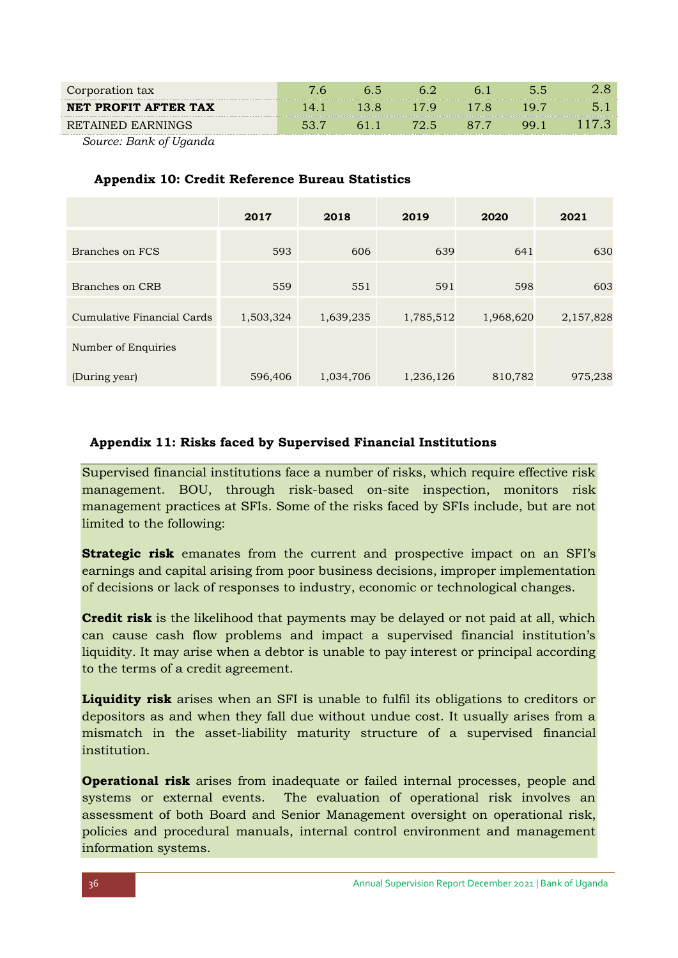| Corporation tax         |  |  |      |  |
|-------------------------|--|--|------|--|
| NET PROFIT AFTER TAX    |  |  |      |  |
| D H'<br>PAINED FARNINGS |  |  | uu 1 |  |

*Source: Bank of Uganda*

#### **Appendix 10: Credit Reference Bureau Statistics**

|                            | 2017      | 2018      | 2019      | 2020      | 2021      |
|----------------------------|-----------|-----------|-----------|-----------|-----------|
| Branches on FCS            | 593       | 606       | 639       | 641       | 630       |
| Branches on CRB            | 559       | 551       | 591       | 598       | 603       |
| Cumulative Financial Cards | 1,503,324 | 1,639,235 | 1,785,512 | 1,968,620 | 2,157,828 |
| Number of Enquiries        |           |           |           |           |           |
| (During year)              | 596,406   | 1,034,706 | 1,236,126 | 810,782   | 975,238   |

### **Appendix 11: Risks faced by Supervised Financial Institutions**

Supervised financial institutions face a number of risks, which require effective risk management. BOU, through risk-based on-site inspection, monitors risk management practices at SFIs. Some of the risks faced by SFIs include, but are not limited to the following:

**Strategic risk** emanates from the current and prospective impact on an SFI's earnings and capital arising from poor business decisions, improper implementation of decisions or lack of responses to industry, economic or technological changes.

**Credit risk** is the likelihood that payments may be delayed or not paid at all, which can cause cash flow problems and impact a supervised financial institution's liquidity. It may arise when a debtor is unable to pay interest or principal according to the terms of a credit agreement.

**Liquidity risk** arises when an SFI is unable to fulfil its obligations to creditors or depositors as and when they fall due without undue cost. It usually arises from a mismatch in the asset-liability maturity structure of a supervised financial institution.

**Operational risk** arises from inadequate or failed internal processes, people and systems or external events. The evaluation of operational risk involves an assessment of both Board and Senior Management oversight on operational risk, policies and procedural manuals, internal control environment and management information systems.